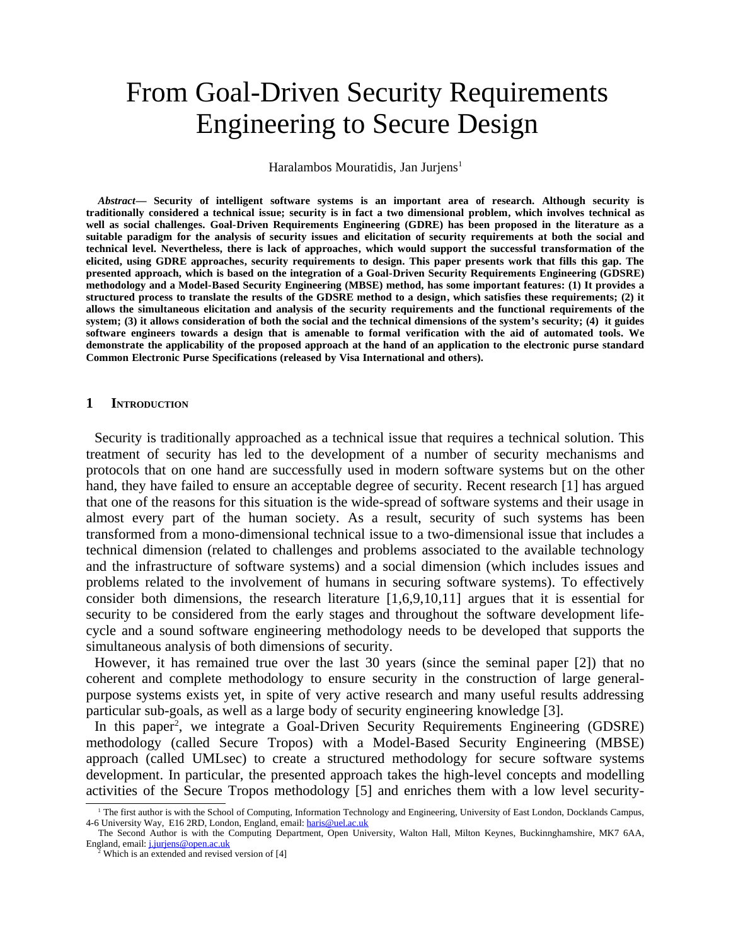# From Goal-Driven Security Requirements Engineering to Secure Design

Haralambos Mouratidis, Jan Jurjens<sup>[1](#page-0-0)</sup>

*Abstract***— Security of intelligent software systems is an important area of research. Although security is traditionally considered a technical issue; security is in fact a two dimensional problem, which involves technical as well as social challenges. Goal-Driven Requirements Engineering (GDRE) has been proposed in the literature as a suitable paradigm for the analysis of security issues and elicitation of security requirements at both the social and technical level. Nevertheless, there is lack of approaches, which would support the successful transformation of the elicited, using GDRE approaches, security requirements to design. This paper presents work that fills this gap. The presented approach, which is based on the integration of a Goal-Driven Security Requirements Engineering (GDSRE) methodology and a Model-Based Security Engineering (MBSE) method, has some important features: (1) It provides a structured process to translate the results of the GDSRE method to a design, which satisfies these requirements; (2) it allows the simultaneous elicitation and analysis of the security requirements and the functional requirements of the system; (3) it allows consideration of both the social and the technical dimensions of the system's security; (4) it guides software engineers towards a design that is amenable to formal verification with the aid of automated tools. We demonstrate the applicability of the proposed approach at the hand of an application to the electronic purse standard Common Electronic Purse Specifications (released by Visa International and others).** 

#### **1 INTRODUCTION**

Security is traditionally approached as a technical issue that requires a technical solution. This treatment of security has led to the development of a number of security mechanisms and protocols that on one hand are successfully used in modern software systems but on the other hand, they have failed to ensure an acceptable degree of security. Recent research [1] has argued that one of the reasons for this situation is the wide-spread of software systems and their usage in almost every part of the human society. As a result, security of such systems has been transformed from a mono-dimensional technical issue to a two-dimensional issue that includes a technical dimension (related to challenges and problems associated to the available technology and the infrastructure of software systems) and a social dimension (which includes issues and problems related to the involvement of humans in securing software systems). To effectively consider both dimensions, the research literature [1,6,9,10,11] argues that it is essential for security to be considered from the early stages and throughout the software development lifecycle and a sound software engineering methodology needs to be developed that supports the simultaneous analysis of both dimensions of security.

However, it has remained true over the last 30 years (since the seminal paper [2]) that no coherent and complete methodology to ensure security in the construction of large generalpurpose systems exists yet, in spite of very active research and many useful results addressing particular sub-goals, as well as a large body of security engineering knowledge [3].

In this paper<sup>[2](#page-0-1)</sup>, we integrate a Goal-Driven Security Requirements Engineering (GDSRE) methodology (called Secure Tropos) with a Model-Based Security Engineering (MBSE) approach (called UMLsec) to create a structured methodology for secure software systems development. In particular, the presented approach takes the high-level concepts and modelling activities of the Secure Tropos methodology [5] and enriches them with a low level security-

<span id="page-0-0"></span><sup>&</sup>lt;sup>1</sup> The first author is with the School of Computing, Information Technology and Engineering, University of East London, Docklands Campus, 4-6 University Way, E16 2RD, London, England, email: [haris@uel.ac.uk](mailto:haris@uel.ac.uk)

The Second Author is with the Computing Department, Open University, Walton Hall, Milton Keynes, Buckinnghamshire, MK7 6AA, England, email: *j.jurjens@open.ac.uk* 

<span id="page-0-1"></span><sup>&</sup>lt;sup>2</sup> Which is an extended and revised version of [4]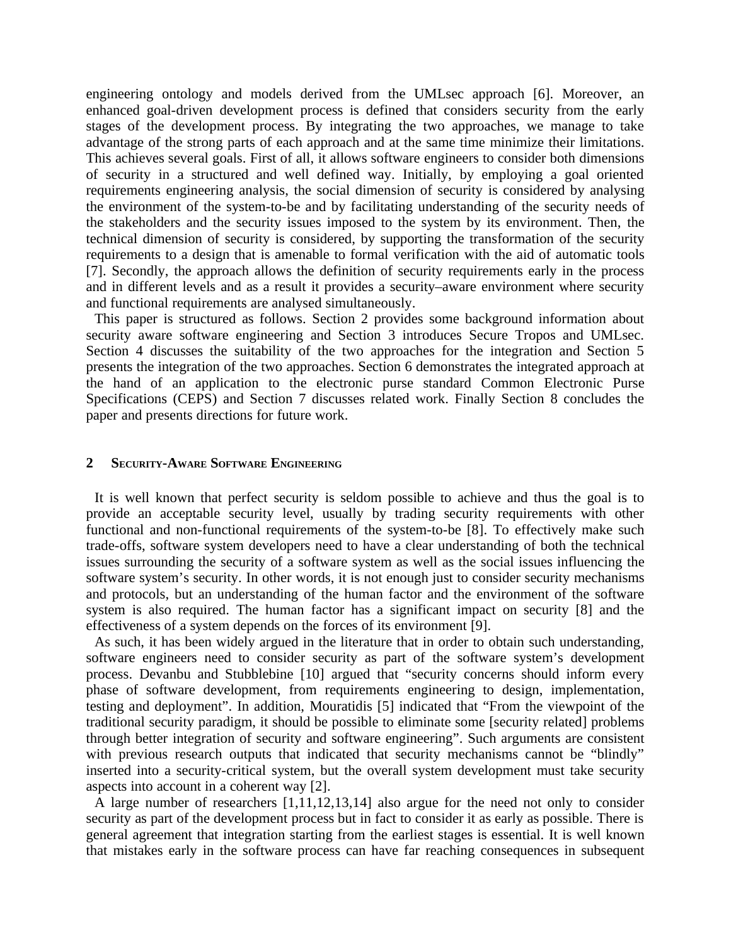engineering ontology and models derived from the UMLsec approach [6]. Moreover, an enhanced goal-driven development process is defined that considers security from the early stages of the development process. By integrating the two approaches, we manage to take advantage of the strong parts of each approach and at the same time minimize their limitations. This achieves several goals. First of all, it allows software engineers to consider both dimensions of security in a structured and well defined way. Initially, by employing a goal oriented requirements engineering analysis, the social dimension of security is considered by analysing the environment of the system-to-be and by facilitating understanding of the security needs of the stakeholders and the security issues imposed to the system by its environment. Then, the technical dimension of security is considered, by supporting the transformation of the security requirements to a design that is amenable to formal verification with the aid of automatic tools [7]. Secondly, the approach allows the definition of security requirements early in the process and in different levels and as a result it provides a security–aware environment where security and functional requirements are analysed simultaneously.

This paper is structured as follows. Section 2 provides some background information about security aware software engineering and Section 3 introduces Secure Tropos and UMLsec. Section 4 discusses the suitability of the two approaches for the integration and Section 5 presents the integration of the two approaches. Section 6 demonstrates the integrated approach at the hand of an application to the electronic purse standard Common Electronic Purse Specifications (CEPS) and Section 7 discusses related work. Finally Section 8 concludes the paper and presents directions for future work.

## **2 SECURITY-AWARE SOFTWARE ENGINEERING**

It is well known that perfect security is seldom possible to achieve and thus the goal is to provide an acceptable security level, usually by trading security requirements with other functional and non-functional requirements of the system-to-be [8]. To effectively make such trade-offs, software system developers need to have a clear understanding of both the technical issues surrounding the security of a software system as well as the social issues influencing the software system's security. In other words, it is not enough just to consider security mechanisms and protocols, but an understanding of the human factor and the environment of the software system is also required. The human factor has a significant impact on security [8] and the effectiveness of a system depends on the forces of its environment [9].

As such, it has been widely argued in the literature that in order to obtain such understanding, software engineers need to consider security as part of the software system's development process. Devanbu and Stubblebine [10] argued that "security concerns should inform every phase of software development, from requirements engineering to design, implementation, testing and deployment". In addition, Mouratidis [5] indicated that "From the viewpoint of the traditional security paradigm, it should be possible to eliminate some [security related] problems through better integration of security and software engineering". Such arguments are consistent with previous research outputs that indicated that security mechanisms cannot be "blindly" inserted into a security-critical system, but the overall system development must take security aspects into account in a coherent way [2].

A large number of researchers [1,11,12,13,14] also argue for the need not only to consider security as part of the development process but in fact to consider it as early as possible. There is general agreement that integration starting from the earliest stages is essential. It is well known that mistakes early in the software process can have far reaching consequences in subsequent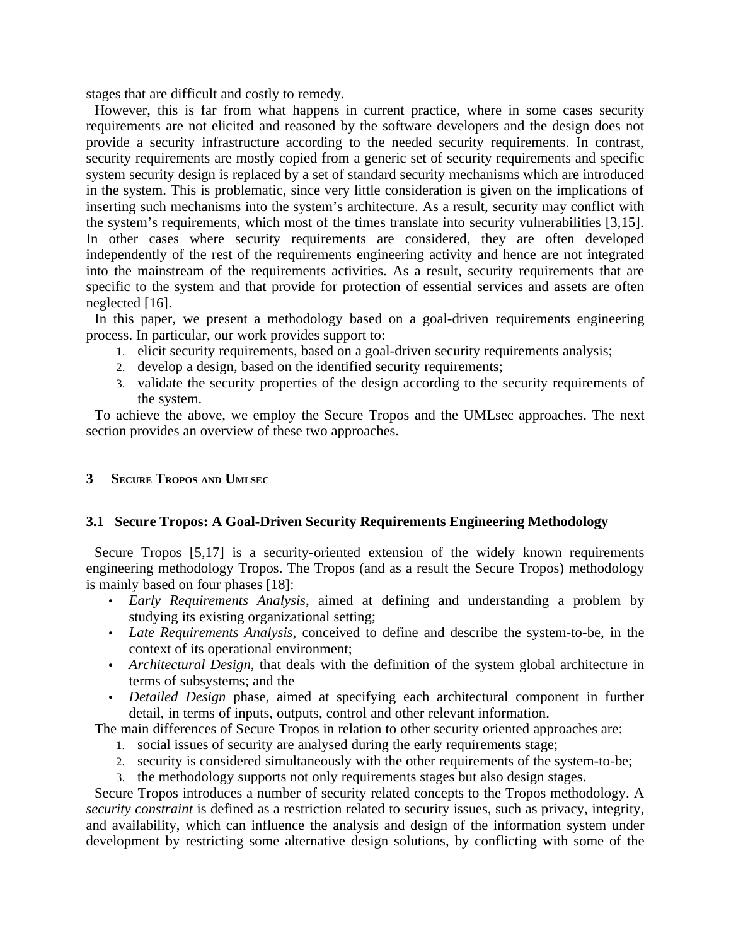stages that are difficult and costly to remedy.

However, this is far from what happens in current practice, where in some cases security requirements are not elicited and reasoned by the software developers and the design does not provide a security infrastructure according to the needed security requirements. In contrast, security requirements are mostly copied from a generic set of security requirements and specific system security design is replaced by a set of standard security mechanisms which are introduced in the system. This is problematic, since very little consideration is given on the implications of inserting such mechanisms into the system's architecture. As a result, security may conflict with the system's requirements, which most of the times translate into security vulnerabilities [3,15]. In other cases where security requirements are considered, they are often developed independently of the rest of the requirements engineering activity and hence are not integrated into the mainstream of the requirements activities. As a result, security requirements that are specific to the system and that provide for protection of essential services and assets are often neglected [16].

In this paper, we present a methodology based on a goal-driven requirements engineering process. In particular, our work provides support to:

- 1. elicit security requirements, based on a goal-driven security requirements analysis;
- 2. develop a design, based on the identified security requirements;
- 3. validate the security properties of the design according to the security requirements of the system.

To achieve the above, we employ the Secure Tropos and the UMLsec approaches. The next section provides an overview of these two approaches.

**3 SECURE TROPOS AND UMLSEC**

# **3.1 Secure Tropos: A Goal-Driven Security Requirements Engineering Methodology**

Secure Tropos [5,17] is a security-oriented extension of the widely known requirements engineering methodology Tropos. The Tropos (and as a result the Secure Tropos) methodology is mainly based on four phases [18]:

- *Early Requirements Analysis*, aimed at defining and understanding a problem by studying its existing organizational setting;
- *Late Requirements Analysis*, conceived to define and describe the system-to-be, in the context of its operational environment;
- *Architectural Design*, that deals with the definition of the system global architecture in terms of subsystems; and the
- *Detailed Design* phase, aimed at specifying each architectural component in further detail, in terms of inputs, outputs, control and other relevant information.

The main differences of Secure Tropos in relation to other security oriented approaches are:

- 1. social issues of security are analysed during the early requirements stage;
- 2. security is considered simultaneously with the other requirements of the system-to-be;
- 3. the methodology supports not only requirements stages but also design stages.

Secure Tropos introduces a number of security related concepts to the Tropos methodology. A *security constraint* is defined as a restriction related to security issues, such as privacy, integrity, and availability, which can influence the analysis and design of the information system under development by restricting some alternative design solutions, by conflicting with some of the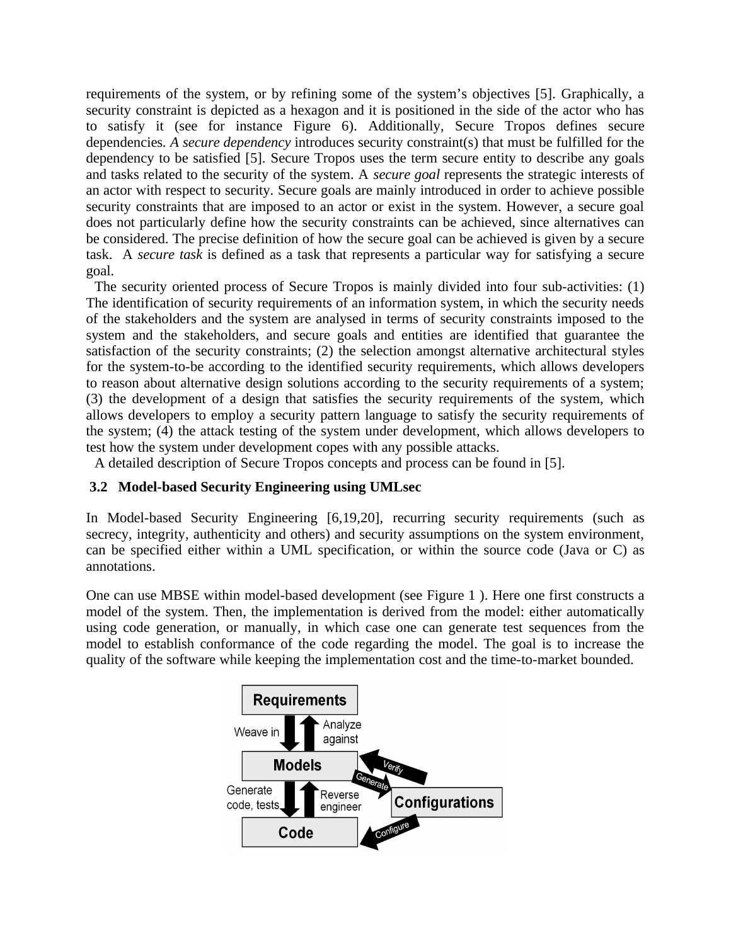requirements of the system, or by refining some of the system's objectives [5]. Graphically, a security constraint is depicted as a hexagon and it is positioned in the side of the actor who has to satisfy it (see for instance [Figure 6\)](#page-13-0). Additionally, Secure Tropos defines secure dependencies*. A secure dependency* introduces security constraint(s) that must be fulfilled for the dependency to be satisfied [5]. Secure Tropos uses the term secure entity to describe any goals and tasks related to the security of the system. A *secure goal* represents the strategic interests of an actor with respect to security. Secure goals are mainly introduced in order to achieve possible security constraints that are imposed to an actor or exist in the system. However, a secure goal does not particularly define how the security constraints can be achieved, since alternatives can be considered. The precise definition of how the secure goal can be achieved is given by a secure task. A *secure task* is defined as a task that represents a particular way for satisfying a secure goal.

The security oriented process of Secure Tropos is mainly divided into four sub-activities: (1) The identification of security requirements of an information system, in which the security needs of the stakeholders and the system are analysed in terms of security constraints imposed to the system and the stakeholders, and secure goals and entities are identified that guarantee the satisfaction of the security constraints; (2) the selection amongst alternative architectural styles for the system-to-be according to the identified security requirements, which allows developers to reason about alternative design solutions according to the security requirements of a system; (3) the development of a design that satisfies the security requirements of the system, which allows developers to employ a security pattern language to satisfy the security requirements of the system; (4) the attack testing of the system under development, which allows developers to test how the system under development copes with any possible attacks.

A detailed description of Secure Tropos concepts and process can be found in [5].

## **3.2 Model-based Security Engineering using UMLsec**

In Model-based Security Engineering [6,19,20], recurring security requirements (such as secrecy, integrity, authenticity and others) and security assumptions on the system environment, can be specified either within a UML specification, or within the source code (Java or C) as annotations.

One can use MBSE within model-based development (see [Figure 1](#page-4-0) ). Here one first constructs a model of the system. Then, the implementation is derived from the model: either automatically using code generation, or manually, in which case one can generate test sequences from the model to establish conformance of the code regarding the model. The goal is to increase the quality of the software while keeping the implementation cost and the time-to-market bounded.

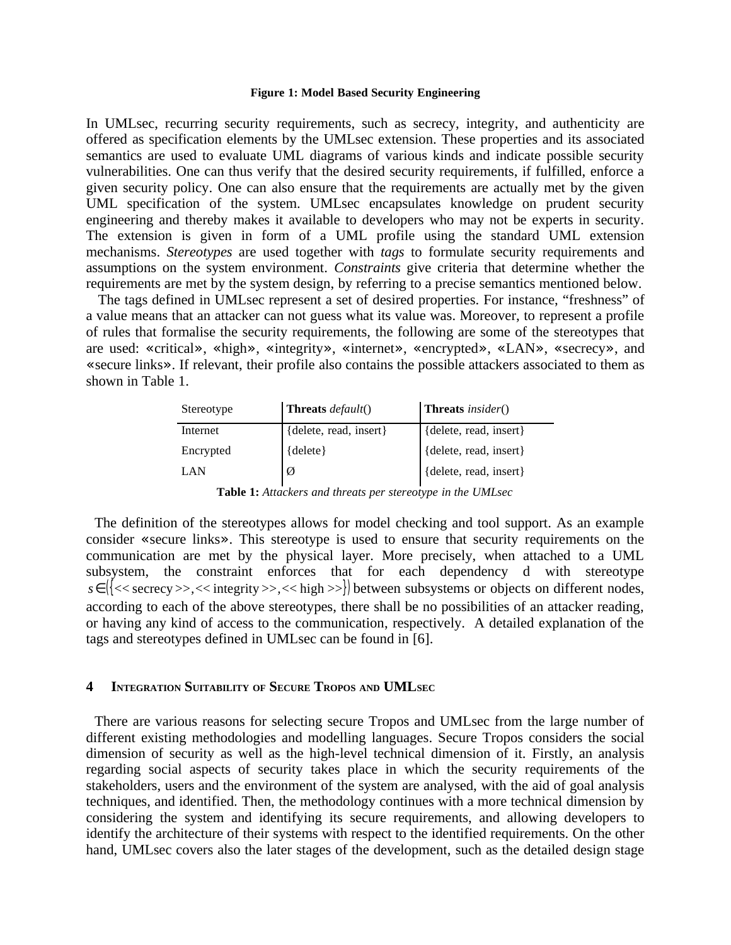#### <span id="page-4-0"></span>**Figure 1: Model Based Security Engineering**

In UMLsec, recurring security requirements, such as secrecy, integrity, and authenticity are offered as specification elements by the UMLsec extension. These properties and its associated semantics are used to evaluate UML diagrams of various kinds and indicate possible security vulnerabilities. One can thus verify that the desired security requirements, if fulfilled, enforce a given security policy. One can also ensure that the requirements are actually met by the given UML specification of the system. UMLsec encapsulates knowledge on prudent security engineering and thereby makes it available to developers who may not be experts in security. The extension is given in form of a UML profile using the standard UML extension mechanisms. *Stereotypes* are used together with *tags* to formulate security requirements and assumptions on the system environment. *Constraints* give criteria that determine whether the requirements are met by the system design, by referring to a precise semantics mentioned below.

The tags defined in UMLsec represent a set of desired properties. For instance, "freshness" of a value means that an attacker can not guess what its value was. Moreover, to represent a profile of rules that formalise the security requirements, the following are some of the stereotypes that are used: «critical», «high», «integrity», «internet», «encrypted», «LAN», «secrecy», and «secure links». If relevant, their profile also contains the possible attackers associated to them as shown in Table 1.

| Stereotype | Threats default()      | Threats insider()      |
|------------|------------------------|------------------------|
| Internet   | {delete, read, insert} | {delete, read, insert} |
| Encrypted  | {delete}               | {delete, read, insert} |
| LAN        | Ø                      | {delete, read, insert} |

**Table 1:** *Attackers and threats per stereotype in the UMLsec*

The definition of the stereotypes allows for model checking and tool support. As an example consider «secure links». This stereotype is used to ensure that security requirements on the communication are met by the physical layer. More precisely, when attached to a UML subsystem, the constraint enforces that for each dependency d with stereotype *s*∈({<< secrecy >>, << integrity >>, << high >>}) between subsystems or objects on different nodes, according to each of the above stereotypes, there shall be no possibilities of an attacker reading, or having any kind of access to the communication, respectively. A detailed explanation of the tags and stereotypes defined in UMLsec can be found in [6].

## **4 INTEGRATION SUITABILITY OF SECURE TROPOS AND UMLSEC**

There are various reasons for selecting secure Tropos and UMLsec from the large number of different existing methodologies and modelling languages. Secure Tropos considers the social dimension of security as well as the high-level technical dimension of it. Firstly, an analysis regarding social aspects of security takes place in which the security requirements of the stakeholders, users and the environment of the system are analysed, with the aid of goal analysis techniques, and identified. Then, the methodology continues with a more technical dimension by considering the system and identifying its secure requirements, and allowing developers to identify the architecture of their systems with respect to the identified requirements. On the other hand, UMLsec covers also the later stages of the development, such as the detailed design stage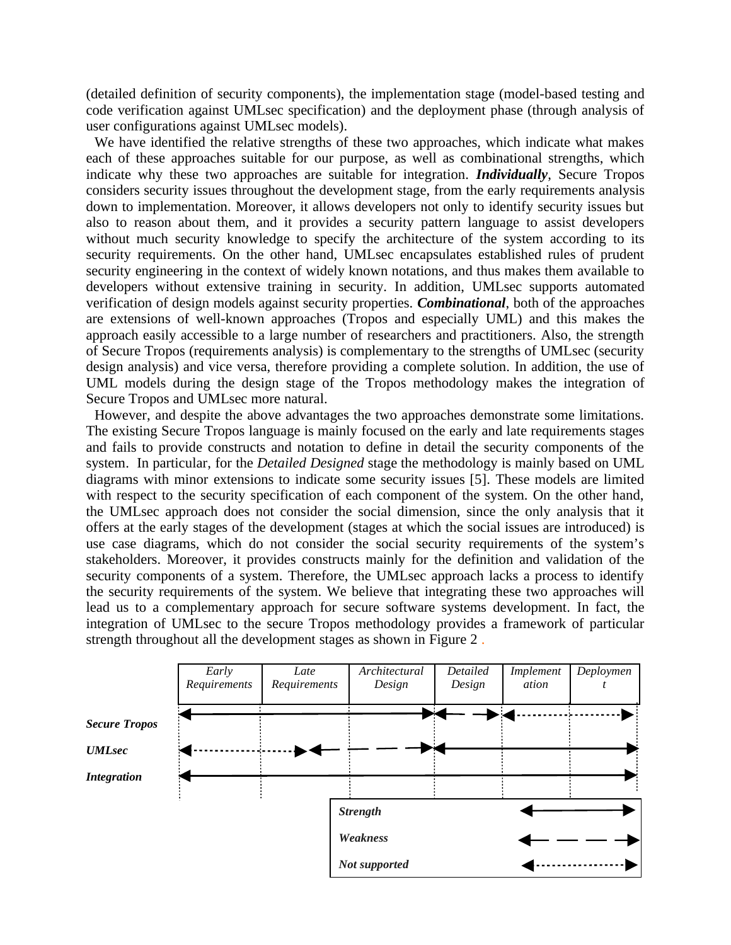(detailed definition of security components), the implementation stage (model-based testing and code verification against UMLsec specification) and the deployment phase (through analysis of user configurations against UMLsec models).

We have identified the relative strengths of these two approaches, which indicate what makes each of these approaches suitable for our purpose, as well as combinational strengths, which indicate why these two approaches are suitable for integration. *Individually*, Secure Tropos considers security issues throughout the development stage, from the early requirements analysis down to implementation. Moreover, it allows developers not only to identify security issues but also to reason about them, and it provides a security pattern language to assist developers without much security knowledge to specify the architecture of the system according to its security requirements. On the other hand, UMLsec encapsulates established rules of prudent security engineering in the context of widely known notations, and thus makes them available to developers without extensive training in security. In addition, UMLsec supports automated verification of design models against security properties. *Combinational*, both of the approaches are extensions of well-known approaches (Tropos and especially UML) and this makes the approach easily accessible to a large number of researchers and practitioners. Also, the strength of Secure Tropos (requirements analysis) is complementary to the strengths of UMLsec (security design analysis) and vice versa, therefore providing a complete solution. In addition, the use of UML models during the design stage of the Tropos methodology makes the integration of Secure Tropos and UMLsec more natural.

However, and despite the above advantages the two approaches demonstrate some limitations. The existing Secure Tropos language is mainly focused on the early and late requirements stages and fails to provide constructs and notation to define in detail the security components of the system. In particular, for the *Detailed Designed* stage the methodology is mainly based on UML diagrams with minor extensions to indicate some security issues [5]. These models are limited with respect to the security specification of each component of the system. On the other hand, the UMLsec approach does not consider the social dimension, since the only analysis that it offers at the early stages of the development (stages at which the social issues are introduced) is use case diagrams, which do not consider the social security requirements of the system's stakeholders. Moreover, it provides constructs mainly for the definition and validation of the security components of a system. Therefore, the UMLsec approach lacks a process to identify the security requirements of the system. We believe that integrating these two approaches will lead us to a complementary approach for secure software systems development. In fact, the integration of UMLsec to the secure Tropos methodology provides a framework of particular strength throughout all the development stages as shown in [Figure 2](#page-6-0) .

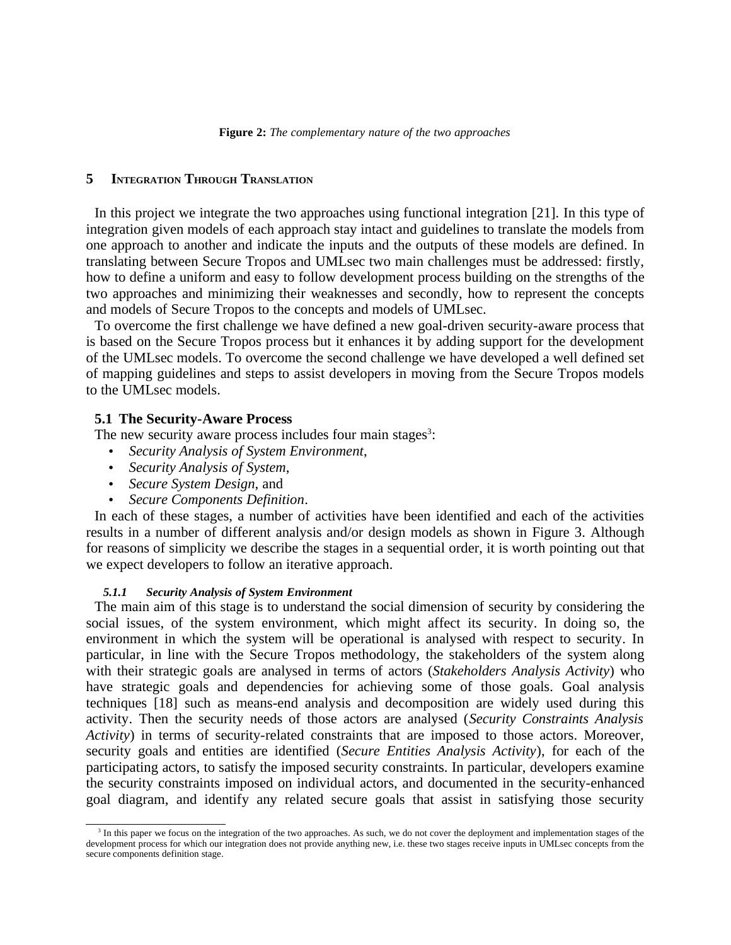## <span id="page-6-0"></span>**5 INTEGRATION THROUGH TRANSLATION**

In this project we integrate the two approaches using functional integration [21]. In this type of integration given models of each approach stay intact and guidelines to translate the models from one approach to another and indicate the inputs and the outputs of these models are defined. In translating between Secure Tropos and UMLsec two main challenges must be addressed: firstly, how to define a uniform and easy to follow development process building on the strengths of the two approaches and minimizing their weaknesses and secondly, how to represent the concepts and models of Secure Tropos to the concepts and models of UMLsec.

To overcome the first challenge we have defined a new goal-driven security-aware process that is based on the Secure Tropos process but it enhances it by adding support for the development of the UMLsec models. To overcome the second challenge we have developed a well defined set of mapping guidelines and steps to assist developers in moving from the Secure Tropos models to the UMLsec models.

## **5.1 The Security-Aware Process**

The new security aware process includes four main stages<sup>[3](#page-6-1)</sup>:

- *Security Analysis of System Environment*,
- *Security Analysis of System*,
- *Secure System Design*, and
- *Secure Components Definition*.

In each of these stages, a number of activities have been identified and each of the activities results in a number of different analysis and/or design models as shown in [Figure 3.](#page-7-0) Although for reasons of simplicity we describe the stages in a sequential order, it is worth pointing out that we expect developers to follow an iterative approach.

## *5.1.1 Security Analysis of System Environment*

The main aim of this stage is to understand the social dimension of security by considering the social issues, of the system environment, which might affect its security. In doing so, the environment in which the system will be operational is analysed with respect to security. In particular, in line with the Secure Tropos methodology, the stakeholders of the system along with their strategic goals are analysed in terms of actors (*Stakeholders Analysis Activity*) who have strategic goals and dependencies for achieving some of those goals. Goal analysis techniques [18] such as means-end analysis and decomposition are widely used during this activity. Then the security needs of those actors are analysed (*Security Constraints Analysis Activity*) in terms of security-related constraints that are imposed to those actors. Moreover, security goals and entities are identified (*Secure Entities Analysis Activity*), for each of the participating actors, to satisfy the imposed security constraints. In particular, developers examine the security constraints imposed on individual actors, and documented in the security-enhanced goal diagram, and identify any related secure goals that assist in satisfying those security

<span id="page-6-1"></span><sup>&</sup>lt;sup>3</sup> In this paper we focus on the integration of the two approaches. As such, we do not cover the deployment and implementation stages of the development process for which our integration does not provide anything new, i.e. these two stages receive inputs in UMLsec concepts from the secure components definition stage.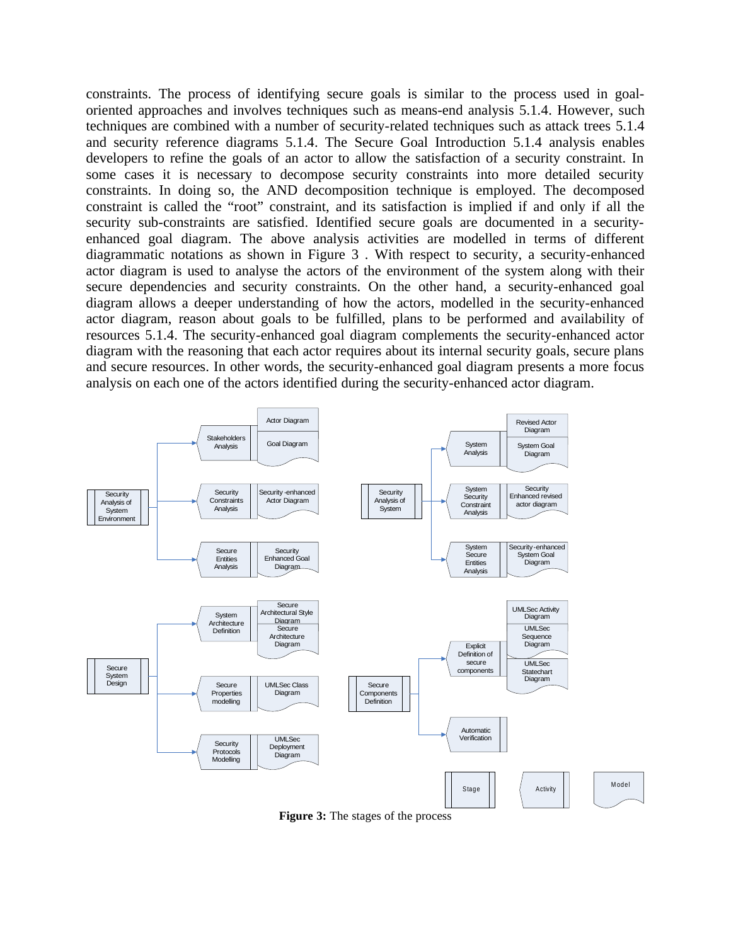constraints. The process of identifying secure goals is similar to the process used in goaloriented approaches and involves techniques such as means-end analysis [5.1.4.](#page-23-0) However, such techniques are combined with a number of security-related techniques such as attack trees [5.1.4](#page-24-0) and security reference diagrams [5.1.4.](#page-22-0) The Secure Goal Introduction [5.1.4](#page-22-1) analysis enables developers to refine the goals of an actor to allow the satisfaction of a security constraint. In some cases it is necessary to decompose security constraints into more detailed security constraints. In doing so, the AND decomposition technique is employed. The decomposed constraint is called the "root" constraint, and its satisfaction is implied if and only if all the security sub-constraints are satisfied. Identified secure goals are documented in a securityenhanced goal diagram. The above analysis activities are modelled in terms of different diagrammatic notations as shown in [Figure 3](#page-7-0) . With respect to security, a security-enhanced actor diagram is used to analyse the actors of the environment of the system along with their secure dependencies and security constraints. On the other hand, a security-enhanced goal diagram allows a deeper understanding of how the actors, modelled in the security-enhanced actor diagram, reason about goals to be fulfilled, plans to be performed and availability of resources [5.1.4.](#page-22-0) The security-enhanced goal diagram complements the security-enhanced actor diagram with the reasoning that each actor requires about its internal security goals, secure plans and secure resources. In other words, the security-enhanced goal diagram presents a more focus analysis on each one of the actors identified during the security-enhanced actor diagram.



<span id="page-7-0"></span>**Figure 3:** The stages of the process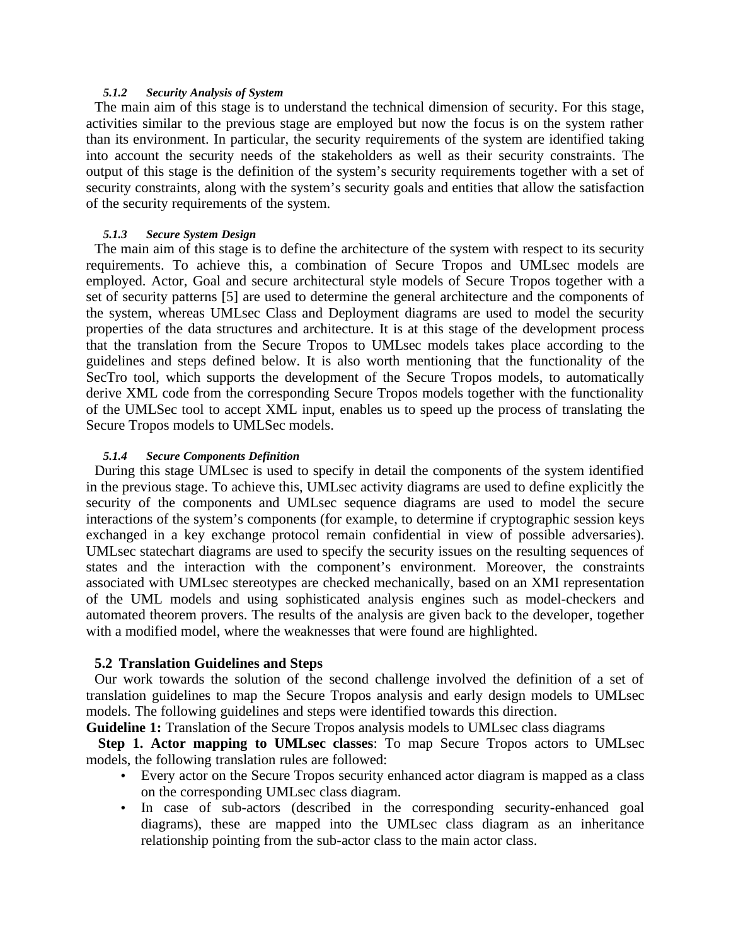## *5.1.2 Security Analysis of System*

The main aim of this stage is to understand the technical dimension of security. For this stage, activities similar to the previous stage are employed but now the focus is on the system rather than its environment. In particular, the security requirements of the system are identified taking into account the security needs of the stakeholders as well as their security constraints. The output of this stage is the definition of the system's security requirements together with a set of security constraints, along with the system's security goals and entities that allow the satisfaction of the security requirements of the system.

## *5.1.3 Secure System Design*

The main aim of this stage is to define the architecture of the system with respect to its security requirements. To achieve this, a combination of Secure Tropos and UMLsec models are employed. Actor, Goal and secure architectural style models of Secure Tropos together with a set of security patterns [5] are used to determine the general architecture and the components of the system, whereas UMLsec Class and Deployment diagrams are used to model the security properties of the data structures and architecture. It is at this stage of the development process that the translation from the Secure Tropos to UMLsec models takes place according to the guidelines and steps defined below. It is also worth mentioning that the functionality of the SecTro tool, which supports the development of the Secure Tropos models, to automatically derive XML code from the corresponding Secure Tropos models together with the functionality of the UMLSec tool to accept XML input, enables us to speed up the process of translating the Secure Tropos models to UMLSec models.

## *5.1.4 Secure Components Definition*

During this stage UMLsec is used to specify in detail the components of the system identified in the previous stage. To achieve this, UMLsec activity diagrams are used to define explicitly the security of the components and UMLsec sequence diagrams are used to model the secure interactions of the system's components (for example, to determine if cryptographic session keys exchanged in a key exchange protocol remain confidential in view of possible adversaries). UMLsec statechart diagrams are used to specify the security issues on the resulting sequences of states and the interaction with the component's environment. Moreover, the constraints associated with UMLsec stereotypes are checked mechanically, based on an XMI representation of the UML models and using sophisticated analysis engines such as model-checkers and automated theorem provers. The results of the analysis are given back to the developer, together with a modified model, where the weaknesses that were found are highlighted.

## **5.2 Translation Guidelines and Steps**

Our work towards the solution of the second challenge involved the definition of a set of translation guidelines to map the Secure Tropos analysis and early design models to UMLsec models. The following guidelines and steps were identified towards this direction.

**Guideline 1:** Translation of the Secure Tropos analysis models to UMLsec class diagrams

**Step 1. Actor mapping to UMLsec classes**: To map Secure Tropos actors to UMLsec models, the following translation rules are followed:

- Every actor on the Secure Tropos security enhanced actor diagram is mapped as a class on the corresponding UMLsec class diagram.
- In case of sub-actors (described in the corresponding security-enhanced goal diagrams), these are mapped into the UMLsec class diagram as an inheritance relationship pointing from the sub-actor class to the main actor class.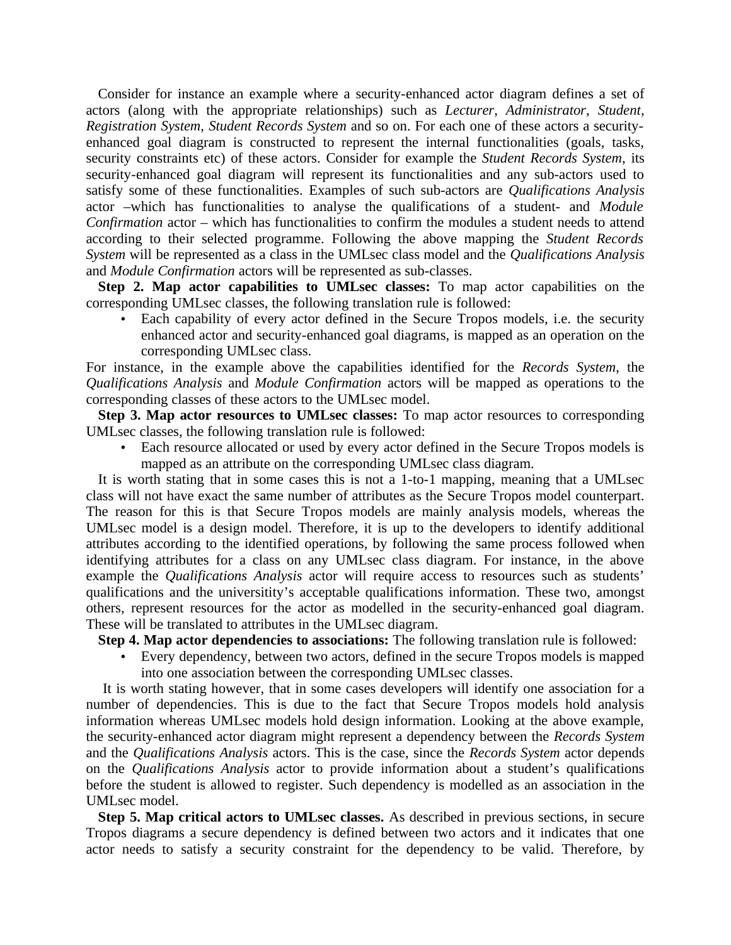Consider for instance an example where a security-enhanced actor diagram defines a set of actors (along with the appropriate relationships) such as *Lecturer*, *Administrator*, *Student*, *Registration System*, *Student Records System* and so on. For each one of these actors a securityenhanced goal diagram is constructed to represent the internal functionalities (goals, tasks, security constraints etc) of these actors. Consider for example the *Student Records System*, its security-enhanced goal diagram will represent its functionalities and any sub-actors used to satisfy some of these functionalities. Examples of such sub-actors are *Qualifications Analysis* actor –which has functionalities to analyse the qualifications of a student- and *Module Confirmation* actor – which has functionalities to confirm the modules a student needs to attend according to their selected programme. Following the above mapping the *Student Records System* will be represented as a class in the UMLsec class model and the *Qualifications Analysis* and *Module Confirmation* actors will be represented as sub-classes.

**Step 2. Map actor capabilities to UMLsec classes:** To map actor capabilities on the corresponding UMLsec classes, the following translation rule is followed:

• Each capability of every actor defined in the Secure Tropos models, i.e. the security enhanced actor and security-enhanced goal diagrams, is mapped as an operation on the corresponding UMLsec class.

For instance, in the example above the capabilities identified for the *Records System*, the *Qualifications Analysis* and *Module Confirmation* actors will be mapped as operations to the corresponding classes of these actors to the UMLsec model.

**Step 3. Map actor resources to UMLsec classes:** To map actor resources to corresponding UMLsec classes, the following translation rule is followed:

• Each resource allocated or used by every actor defined in the Secure Tropos models is mapped as an attribute on the corresponding UMLsec class diagram.

It is worth stating that in some cases this is not a 1-to-1 mapping, meaning that a UMLsec class will not have exact the same number of attributes as the Secure Tropos model counterpart. The reason for this is that Secure Tropos models are mainly analysis models, whereas the UMLsec model is a design model. Therefore, it is up to the developers to identify additional attributes according to the identified operations, by following the same process followed when identifying attributes for a class on any UMLsec class diagram. For instance, in the above example the *Qualifications Analysis* actor will require access to resources such as students' qualifications and the universitity's acceptable qualifications information. These two, amongst others, represent resources for the actor as modelled in the security-enhanced goal diagram. These will be translated to attributes in the UMLsec diagram.

**Step 4. Map actor dependencies to associations:** The following translation rule is followed:

• Every dependency, between two actors, defined in the secure Tropos models is mapped into one association between the corresponding UMLsec classes.

It is worth stating however, that in some cases developers will identify one association for a number of dependencies. This is due to the fact that Secure Tropos models hold analysis information whereas UMLsec models hold design information. Looking at the above example, the security-enhanced actor diagram might represent a dependency between the *Records System* and the *Qualifications Analysis* actors. This is the case, since the *Records System* actor depends on the *Qualifications Analysis* actor to provide information about a student's qualifications before the student is allowed to register. Such dependency is modelled as an association in the UMLsec model.

**Step 5. Map critical actors to UMLsec classes.** As described in previous sections, in secure Tropos diagrams a secure dependency is defined between two actors and it indicates that one actor needs to satisfy a security constraint for the dependency to be valid. Therefore, by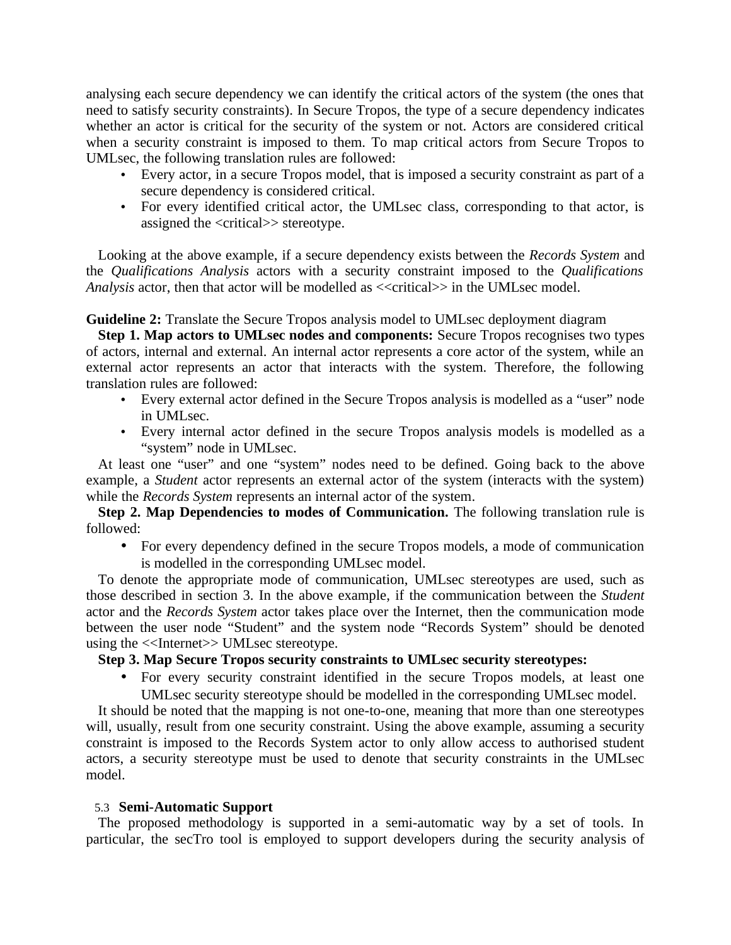analysing each secure dependency we can identify the critical actors of the system (the ones that need to satisfy security constraints). In Secure Tropos, the type of a secure dependency indicates whether an actor is critical for the security of the system or not. Actors are considered critical when a security constraint is imposed to them. To map critical actors from Secure Tropos to UMLsec, the following translation rules are followed:

- Every actor, in a secure Tropos model, that is imposed a security constraint as part of a secure dependency is considered critical.
- For every identified critical actor, the UMLsec class, corresponding to that actor, is assigned the <critical>> stereotype.

Looking at the above example, if a secure dependency exists between the *Records System* and the *Qualifications Analysis* actors with a security constraint imposed to the *Qualifications Analysis* actor, then that actor will be modelled as  $\le$ critical>> in the UMLsec model.

**Guideline 2:** Translate the Secure Tropos analysis model to UMLsec deployment diagram

**Step 1. Map actors to UMLsec nodes and components:** Secure Tropos recognises two types of actors, internal and external. An internal actor represents a core actor of the system, while an external actor represents an actor that interacts with the system. Therefore, the following translation rules are followed:

- Every external actor defined in the Secure Tropos analysis is modelled as a "user" node in UMLsec.
- Every internal actor defined in the secure Tropos analysis models is modelled as a "system" node in UMLsec.

At least one "user" and one "system" nodes need to be defined. Going back to the above example, a *Student* actor represents an external actor of the system (interacts with the system) while the *Records System* represents an internal actor of the system.

**Step 2. Map Dependencies to modes of Communication.** The following translation rule is followed:

• For every dependency defined in the secure Tropos models, a mode of communication is modelled in the corresponding UMLsec model.

To denote the appropriate mode of communication, UMLsec stereotypes are used, such as those described in section 3. In the above example, if the communication between the *Student* actor and the *Records System* actor takes place over the Internet, then the communication mode between the user node "Student" and the system node "Records System" should be denoted using the <<Internet>> UMLsec stereotype.

## **Step 3. Map Secure Tropos security constraints to UMLsec security stereotypes:**

• For every security constraint identified in the secure Tropos models, at least one UMLsec security stereotype should be modelled in the corresponding UMLsec model.

It should be noted that the mapping is not one-to-one, meaning that more than one stereotypes will, usually, result from one security constraint. Using the above example, assuming a security constraint is imposed to the Records System actor to only allow access to authorised student actors, a security stereotype must be used to denote that security constraints in the UMLsec model.

## 5.3 **Semi-Automatic Support**

The proposed methodology is supported in a semi-automatic way by a set of tools. In particular, the secTro tool is employed to support developers during the security analysis of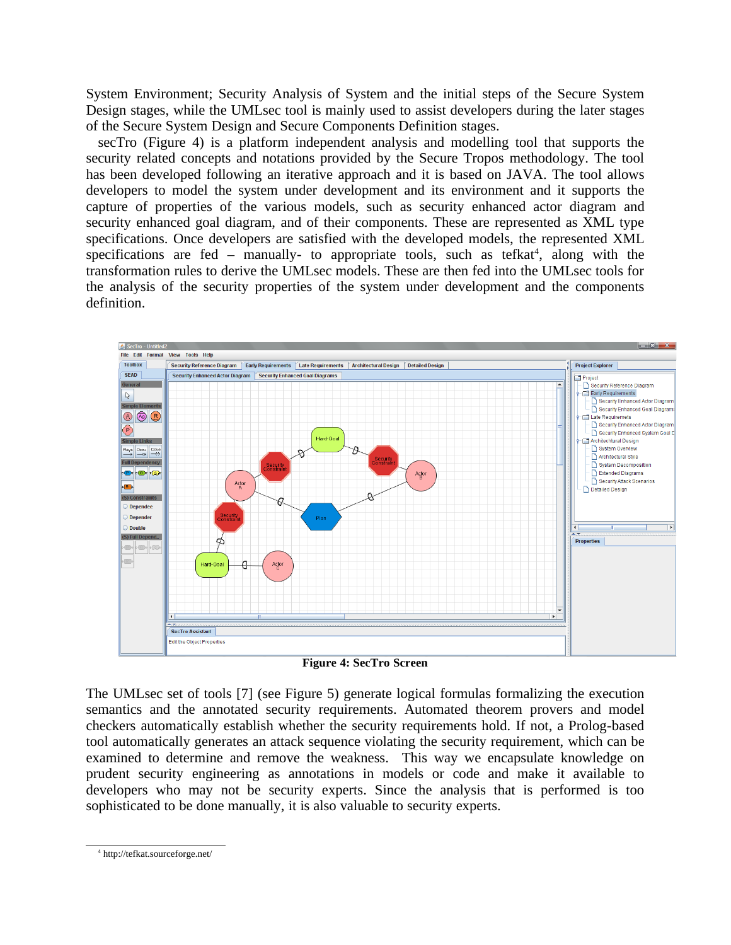System Environment; Security Analysis of System and the initial steps of the Secure System Design stages, while the UMLsec tool is mainly used to assist developers during the later stages of the Secure System Design and Secure Components Definition stages.

secTro [\(Figure 4\)](#page-11-0) is a platform independent analysis and modelling tool that supports the security related concepts and notations provided by the Secure Tropos methodology. The tool has been developed following an iterative approach and it is based on JAVA. The tool allows developers to model the system under development and its environment and it supports the capture of properties of the various models, such as security enhanced actor diagram and security enhanced goal diagram, and of their components. These are represented as XML type specifications. Once developers are satisfied with the developed models, the represented XML specifications are fed – manually- to appropriate tools, such as tefkat<sup>[4](#page-11-1)</sup>, along with the transformation rules to derive the UMLsec models. These are then fed into the UMLsec tools for the analysis of the security properties of the system under development and the components definition.



<span id="page-11-0"></span>**Figure 4: SecTro Screen**

The UMLsec set of tools [7] (see [Figure 5\)](#page-12-0) generate logical formulas formalizing the execution semantics and the annotated security requirements. Automated theorem provers and model checkers automatically establish whether the security requirements hold. If not, a Prolog-based tool automatically generates an attack sequence violating the security requirement, which can be examined to determine and remove the weakness. This way we encapsulate knowledge on prudent security engineering as annotations in models or code and make it available to developers who may not be security experts. Since the analysis that is performed is too sophisticated to be done manually, it is also valuable to security experts.

<span id="page-11-1"></span><sup>4</sup> http://tefkat.sourceforge.net/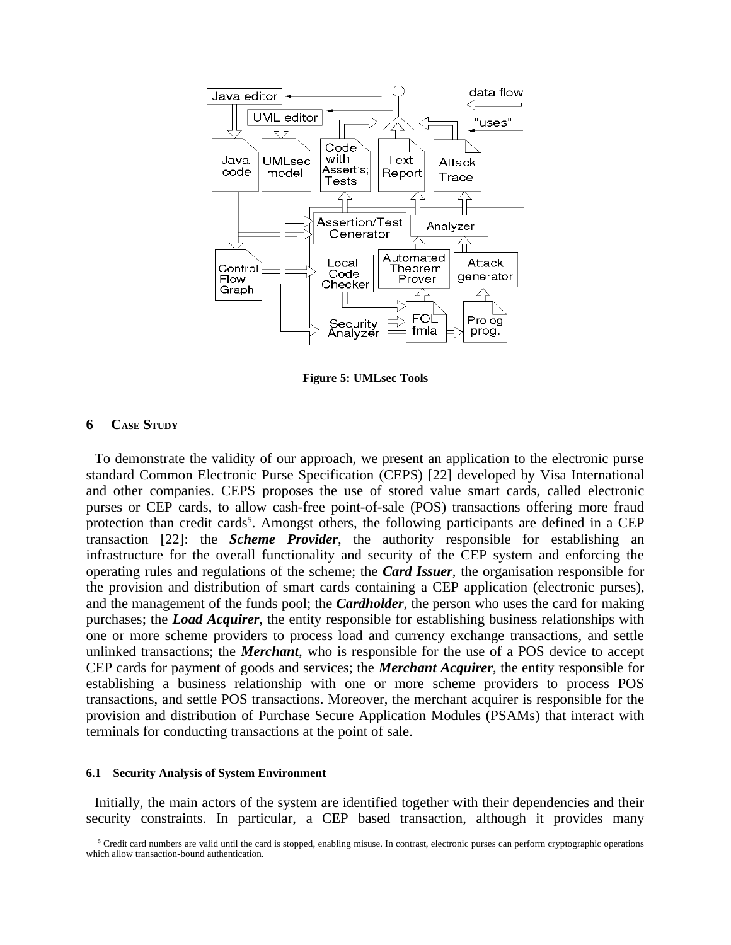

<span id="page-12-0"></span>**Figure 5: UMLsec Tools**

## **6 CASE STUDY**

To demonstrate the validity of our approach, we present an application to the electronic purse standard Common Electronic Purse Specification (CEPS) [22] developed by Visa International and other companies. CEPS proposes the use of stored value smart cards, called electronic purses or CEP cards, to allow cash-free point-of-sale (POS) transactions offering more fraud protection than credit cards<sup>[5](#page-12-1)</sup>. Amongst others, the following participants are defined in a CEP transaction [22]: the *Scheme Provider*, the authority responsible for establishing an infrastructure for the overall functionality and security of the CEP system and enforcing the operating rules and regulations of the scheme; the *Card Issuer*, the organisation responsible for the provision and distribution of smart cards containing a CEP application (electronic purses), and the management of the funds pool; the *Cardholder*, the person who uses the card for making purchases; the *Load Acquirer*, the entity responsible for establishing business relationships with one or more scheme providers to process load and currency exchange transactions, and settle unlinked transactions; the *Merchant*, who is responsible for the use of a POS device to accept CEP cards for payment of goods and services; the *Merchant Acquirer*, the entity responsible for establishing a business relationship with one or more scheme providers to process POS transactions, and settle POS transactions. Moreover, the merchant acquirer is responsible for the provision and distribution of Purchase Secure Application Modules (PSAMs) that interact with terminals for conducting transactions at the point of sale.

#### **6.1 Security Analysis of System Environment**

Initially, the main actors of the system are identified together with their dependencies and their security constraints. In particular, a CEP based transaction, although it provides many

<span id="page-12-1"></span><sup>&</sup>lt;sup>5</sup> Credit card numbers are valid until the card is stopped, enabling misuse. In contrast, electronic purses can perform cryptographic operations which allow transaction-bound authentication.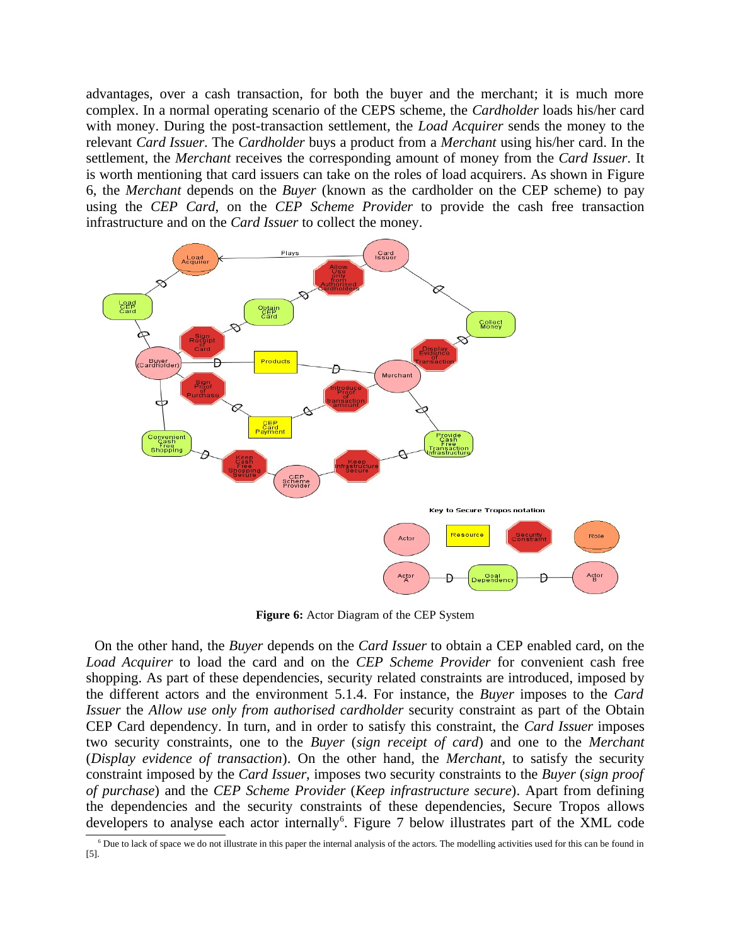advantages, over a cash transaction, for both the buyer and the merchant; it is much more complex. In a normal operating scenario of the CEPS scheme, the *Cardholder* loads his/her card with money. During the post-transaction settlement, the *Load Acquirer* sends the money to the relevant *Card Issuer*. The *Cardholder* buys a product from a *Merchant* using his/her card. In the settlement, the *Merchant* receives the corresponding amount of money from the *Card Issuer*. It is worth mentioning that card issuers can take on the roles of load acquirers. As shown in [Figure](#page-13-0) [6,](#page-13-0) the *Merchant* depends on the *Buyer* (known as the cardholder on the CEP scheme) to pay using the *CEP Card*, on the *CEP Scheme Provider* to provide the cash free transaction infrastructure and on the *Card Issuer* to collect the money.



<span id="page-13-0"></span>**Figure 6:** Actor Diagram of the CEP System

On the other hand, the *Buyer* depends on the *Card Issuer* to obtain a CEP enabled card, on the *Load Acquirer* to load the card and on the *CEP Scheme Provider* for convenient cash free shopping. As part of these dependencies, security related constraints are introduced, imposed by the different actors and the environment [5.1.4.](#page-22-0) For instance, the *Buyer* imposes to the *Card Issuer* the *Allow use only from authorised cardholder* security constraint as part of the Obtain CEP Card dependency. In turn, and in order to satisfy this constraint, the *Card Issuer* imposes two security constraints, one to the *Buyer* (*sign receipt of card*) and one to the *Merchant* (*Display evidence of transaction*). On the other hand, the *Merchant*, to satisfy the security constraint imposed by the *Card Issuer*, imposes two security constraints to the *Buyer* (*sign proof of purchase*) and the *CEP Scheme Provider* (*Keep infrastructure secure*). Apart from defining the dependencies and the security constraints of these dependencies, Secure Tropos allows developers to analyse each actor internally<sup>[6](#page-13-1)</sup>. [Figure 7](#page-14-0) below illustrates part of the XML code

<span id="page-13-1"></span> $6$  Due to lack of space we do not illustrate in this paper the internal analysis of the actors. The modelling activities used for this can be found in [5].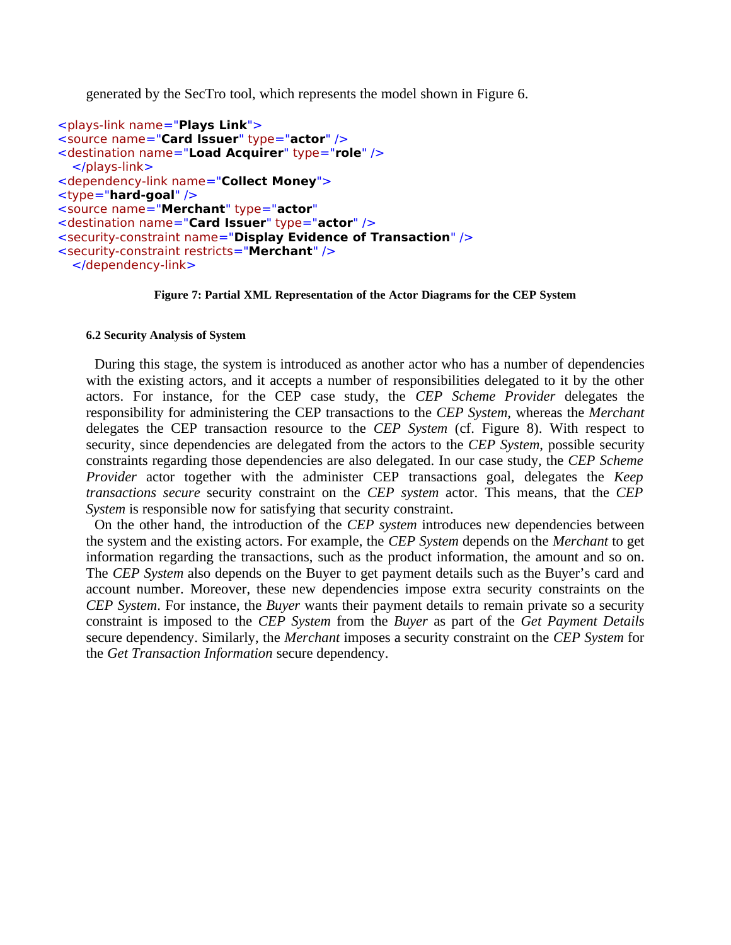generated by the SecTro tool, which represents the model shown in [Figure 6.](#page-13-0)

```
<plays-link name="Plays Link">
<source name="Card Issuer" type="actor" />
<destination name="Load Acquirer" type="role" />
  </plays-link>
<dependency-link name="Collect Money">
<type="hard-goal" />
<source name="Merchant" type="actor"
<destination name="Card Issuer" type="actor" />
<security-constraint name="Display Evidence of Transaction" />
<security-constraint restricts="Merchant" />
  </dependency-link>
```
<span id="page-14-0"></span>**Figure 7: Partial XML Representation of the Actor Diagrams for the CEP System**

## **6.2 Security Analysis of System**

During this stage, the system is introduced as another actor who has a number of dependencies with the existing actors, and it accepts a number of responsibilities delegated to it by the other actors. For instance, for the CEP case study, the *CEP Scheme Provider* delegates the responsibility for administering the CEP transactions to the *CEP System*, whereas the *Merchant* delegates the CEP transaction resource to the *CEP System* (cf. [Figure 8\)](#page-15-0). With respect to security, since dependencies are delegated from the actors to the *CEP System*, possible security constraints regarding those dependencies are also delegated. In our case study, the *CEP Scheme Provider* actor together with the administer CEP transactions goal, delegates the *Keep transactions secure* security constraint on the *CEP system* actor. This means, that the *CEP System* is responsible now for satisfying that security constraint.

On the other hand, the introduction of the *CEP system* introduces new dependencies between the system and the existing actors. For example, the *CEP System* depends on the *Merchant* to get information regarding the transactions, such as the product information, the amount and so on. The *CEP System* also depends on the Buyer to get payment details such as the Buyer's card and account number. Moreover, these new dependencies impose extra security constraints on the *CEP System*. For instance, the *Buyer* wants their payment details to remain private so a security constraint is imposed to the *CEP System* from the *Buyer* as part of the *Get Payment Details* secure dependency. Similarly, the *Merchant* imposes a security constraint on the *CEP System* for the *Get Transaction Information* secure dependency.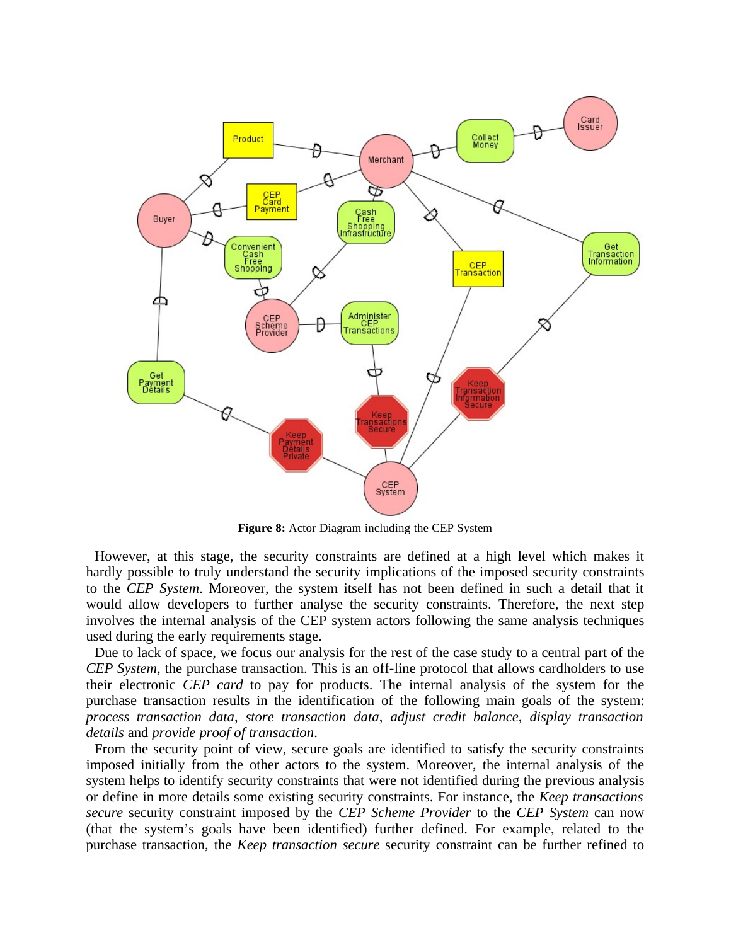

<span id="page-15-0"></span>**Figure 8:** Actor Diagram including the CEP System

However, at this stage, the security constraints are defined at a high level which makes it hardly possible to truly understand the security implications of the imposed security constraints to the *CEP System*. Moreover, the system itself has not been defined in such a detail that it would allow developers to further analyse the security constraints. Therefore, the next step involves the internal analysis of the CEP system actors following the same analysis techniques used during the early requirements stage.

Due to lack of space, we focus our analysis for the rest of the case study to a central part of the *CEP System*, the purchase transaction. This is an off-line protocol that allows cardholders to use their electronic *CEP card* to pay for products. The internal analysis of the system for the purchase transaction results in the identification of the following main goals of the system: *process transaction data*, *store transaction data*, *adjust credit balance*, *display transaction details* and *provide proof of transaction*.

From the security point of view, secure goals are identified to satisfy the security constraints imposed initially from the other actors to the system. Moreover, the internal analysis of the system helps to identify security constraints that were not identified during the previous analysis or define in more details some existing security constraints. For instance, the *Keep transactions secure* security constraint imposed by the *CEP Scheme Provider* to the *CEP System* can now (that the system's goals have been identified) further defined. For example, related to the purchase transaction, the *Keep transaction secure* security constraint can be further refined to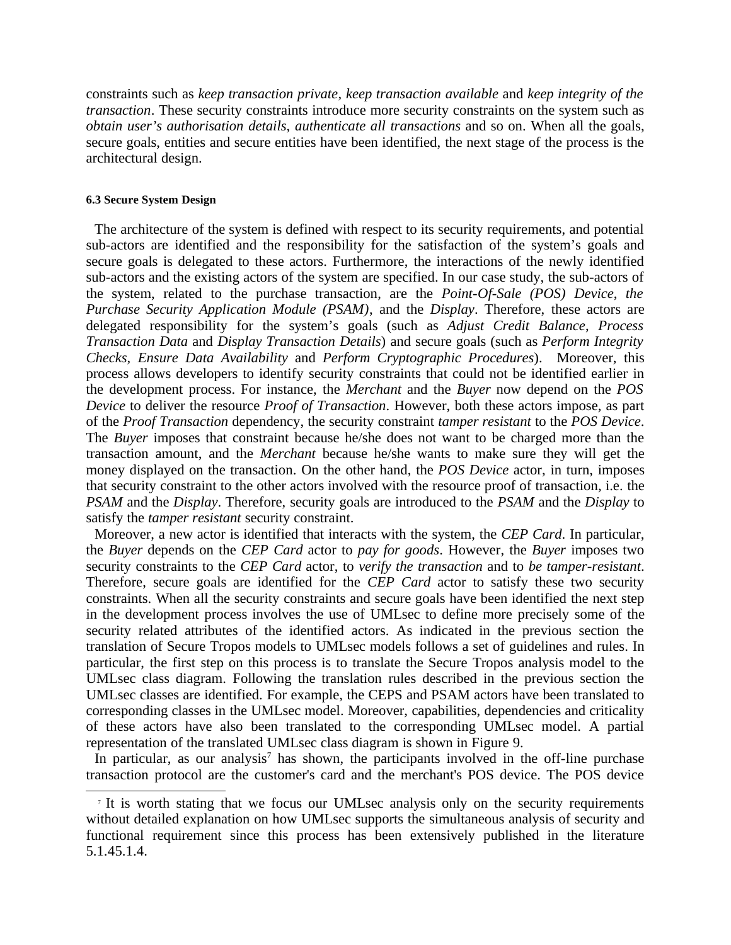constraints such as *keep transaction private*, *keep transaction available* and *keep integrity of the transaction*. These security constraints introduce more security constraints on the system such as *obtain user's authorisation details*, *authenticate all transactions* and so on. When all the goals, secure goals, entities and secure entities have been identified, the next stage of the process is the architectural design.

## **6.3 Secure System Design**

The architecture of the system is defined with respect to its security requirements, and potential sub-actors are identified and the responsibility for the satisfaction of the system's goals and secure goals is delegated to these actors. Furthermore, the interactions of the newly identified sub-actors and the existing actors of the system are specified. In our case study, the sub-actors of the system, related to the purchase transaction, are the *Point-Of-Sale (POS) Device*, *the Purchase Security Application Module (PSAM)*, and the *Display*. Therefore, these actors are delegated responsibility for the system's goals (such as *Adjust Credit Balance*, *Process Transaction Data* and *Display Transaction Details*) and secure goals (such as *Perform Integrity Checks*, *Ensure Data Availability* and *Perform Cryptographic Procedures*). Moreover, this process allows developers to identify security constraints that could not be identified earlier in the development process. For instance, the *Merchant* and the *Buyer* now depend on the *POS Device* to deliver the resource *Proof of Transaction*. However, both these actors impose, as part of the *Proof Transaction* dependency, the security constraint *tamper resistant* to the *POS Device*. The *Buyer* imposes that constraint because he/she does not want to be charged more than the transaction amount, and the *Merchant* because he/she wants to make sure they will get the money displayed on the transaction. On the other hand, the *POS Device* actor, in turn, imposes that security constraint to the other actors involved with the resource proof of transaction, i.e. the *PSAM* and the *Display*. Therefore, security goals are introduced to the *PSAM* and the *Display* to satisfy the *tamper resistant* security constraint.

Moreover, a new actor is identified that interacts with the system, the *CEP Card*. In particular, the *Buyer* depends on the *CEP Card* actor to *pay for goods*. However, the *Buyer* imposes two security constraints to the *CEP Card* actor, to *verify the transaction* and to *be tamper-resistant*. Therefore, secure goals are identified for the *CEP Card* actor to satisfy these two security constraints. When all the security constraints and secure goals have been identified the next step in the development process involves the use of UMLsec to define more precisely some of the security related attributes of the identified actors. As indicated in the previous section the translation of Secure Tropos models to UMLsec models follows a set of guidelines and rules. In particular, the first step on this process is to translate the Secure Tropos analysis model to the UMLsec class diagram. Following the translation rules described in the previous section the UMLsec classes are identified. For example, the CEPS and PSAM actors have been translated to corresponding classes in the UMLsec model. Moreover, capabilities, dependencies and criticality of these actors have also been translated to the corresponding UMLsec model. A partial representation of the translated UMLsec class diagram is shown in [Figure 9.](#page-17-0)

In particular, as our analysis<sup>[7](#page-16-0)</sup> has shown, the participants involved in the off-line purchase transaction protocol are the customer's card and the merchant's POS device. The POS device

<span id="page-16-0"></span><sup>7</sup> It is worth stating that we focus our UMLsec analysis only on the security requirements without detailed explanation on how UMLsec supports the simultaneous analysis of security and functional requirement since this process has been extensively published in the literature [5.1.4](#page-22-2)[5.1.4.](#page-23-1)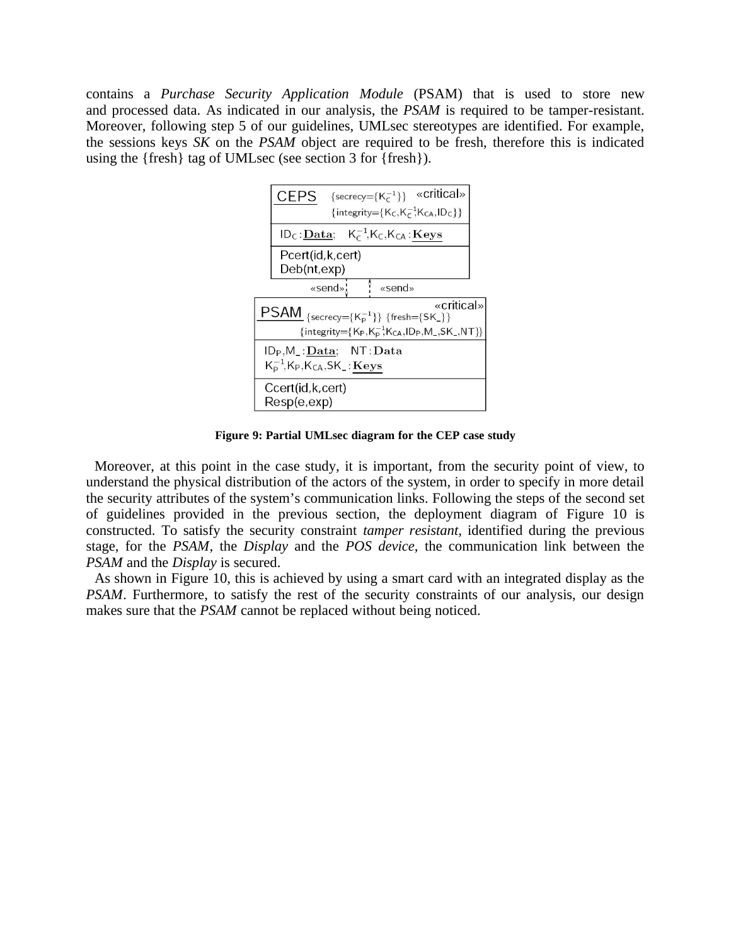contains a *Purchase Security Application Module* (PSAM) that is used to store new and processed data. As indicated in our analysis, the *PSAM* is required to be tamper-resistant. Moreover, following step 5 of our guidelines, UMLsec stereotypes are identified. For example, the sessions keys *SK* on the *PSAM* object are required to be fresh, therefore this is indicated using the {fresh} tag of UMLsec (see section 3 for {fresh}).



<span id="page-17-0"></span>**Figure 9: Partial UMLsec diagram for the CEP case study**

Moreover, at this point in the case study, it is important, from the security point of view, to understand the physical distribution of the actors of the system, in order to specify in more detail the security attributes of the system's communication links. Following the steps of the second set of guidelines provided in the previous section, the deployment diagram of [Figure 10](#page-18-0) is constructed. To satisfy the security constraint *tamper resistant,* identified during the previous stage, for the *PSAM*, the *Display* and the *POS device*, the communication link between the *PSAM* and the *Display* is secured.

As shown in [Figure 10,](#page-18-0) this is achieved by using a smart card with an integrated display as the *PSAM*. Furthermore, to satisfy the rest of the security constraints of our analysis, our design makes sure that the *PSAM* cannot be replaced without being noticed.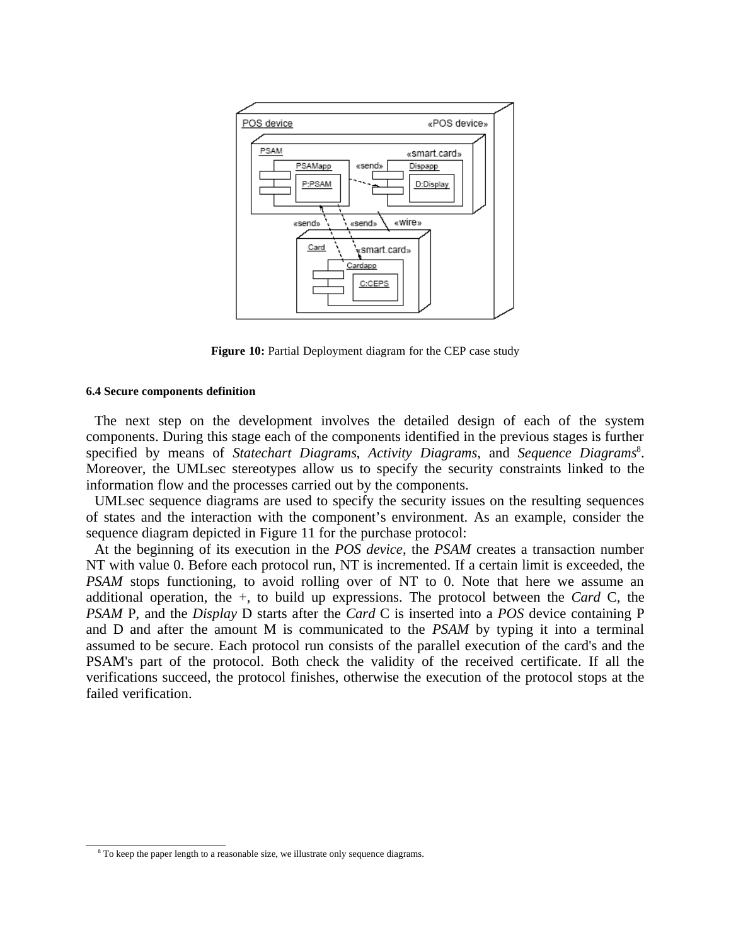

<span id="page-18-0"></span>Figure 10: Partial Deployment diagram for the CEP case study

#### **6.4 Secure components definition**

The next step on the development involves the detailed design of each of the system components. During this stage each of the components identified in the previous stages is further specified by means of *Statechart Diagrams*, *Activity Diagrams*, and *Sequence Diagrams*[8](#page-18-1) . Moreover, the UMLsec stereotypes allow us to specify the security constraints linked to the information flow and the processes carried out by the components.

UMLsec sequence diagrams are used to specify the security issues on the resulting sequences of states and the interaction with the component's environment. As an example, consider the sequence diagram depicted in [Figure 11](#page-19-0) for the purchase protocol:

At the beginning of its execution in the *POS device*, the *PSAM* creates a transaction number NT with value 0. Before each protocol run, NT is incremented. If a certain limit is exceeded, the *PSAM* stops functioning, to avoid rolling over of NT to 0. Note that here we assume an additional operation, the +, to build up expressions. The protocol between the *Card* C, the *PSAM* P, and the *Display* D starts after the *Card* C is inserted into a *POS* device containing P and D and after the amount M is communicated to the *PSAM* by typing it into a terminal assumed to be secure. Each protocol run consists of the parallel execution of the card's and the PSAM's part of the protocol. Both check the validity of the received certificate. If all the verifications succeed, the protocol finishes, otherwise the execution of the protocol stops at the failed verification.

<span id="page-18-1"></span><sup>&</sup>lt;sup>8</sup> To keep the paper length to a reasonable size, we illustrate only sequence diagrams.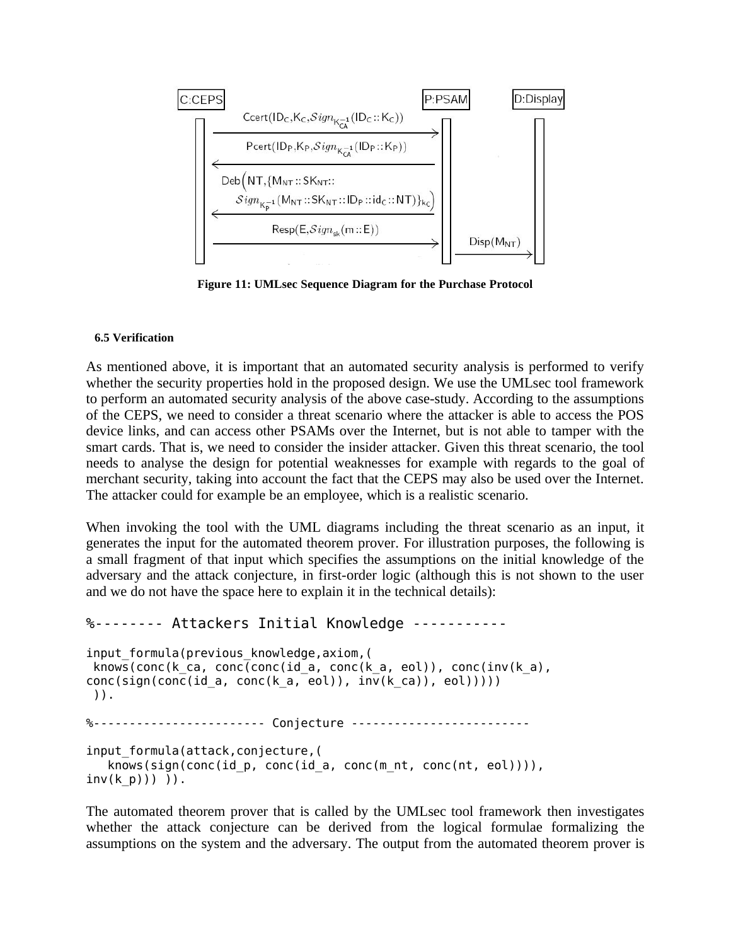

<span id="page-19-0"></span>**Figure 11: UMLsec Sequence Diagram for the Purchase Protocol**

## **6.5 Verification**

As mentioned above, it is important that an automated security analysis is performed to verify whether the security properties hold in the proposed design. We use the UMLsec tool framework to perform an automated security analysis of the above case-study. According to the assumptions of the CEPS, we need to consider a threat scenario where the attacker is able to access the POS device links, and can access other PSAMs over the Internet, but is not able to tamper with the smart cards. That is, we need to consider the insider attacker. Given this threat scenario, the tool needs to analyse the design for potential weaknesses for example with regards to the goal of merchant security, taking into account the fact that the CEPS may also be used over the Internet. The attacker could for example be an employee, which is a realistic scenario.

When invoking the tool with the UML diagrams including the threat scenario as an input, it generates the input for the automated theorem prover. For illustration purposes, the following is a small fragment of that input which specifies the assumptions on the initial knowledge of the adversary and the attack conjecture, in first-order logic (although this is not shown to the user and we do not have the space here to explain it in the technical details):

# %-------- Attackers Initial Knowledge -----------

```
input formula(previous knowledge, axiom, (
 knows(conc(k ca, conc(conc(id a, conc(k a, eol)), conc(inv(k a),
conc(sign(conc(id_a, conc(k_a, eol)), inv(k_ca)), eol)))))
  )).
%------------------------ Conjecture -------------------------
input formula(attack,conjecture,(
    knows(sign(conc(id_p, conc(id_a, conc(m_nt, conc(nt, eol)))),
inv(k_p)))).
```
The automated theorem prover that is called by the UMLsec tool framework then investigates whether the attack conjecture can be derived from the logical formulae formalizing the assumptions on the system and the adversary. The output from the automated theorem prover is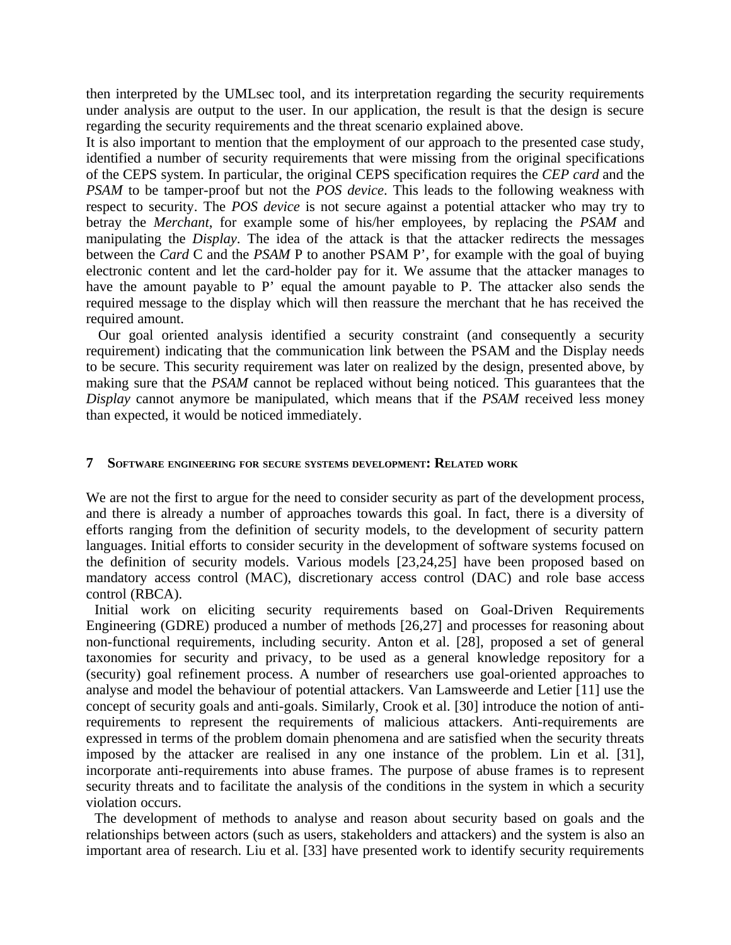then interpreted by the UMLsec tool, and its interpretation regarding the security requirements under analysis are output to the user. In our application, the result is that the design is secure regarding the security requirements and the threat scenario explained above.

It is also important to mention that the employment of our approach to the presented case study, identified a number of security requirements that were missing from the original specifications of the CEPS system. In particular, the original CEPS specification requires the *CEP card* and the *PSAM* to be tamper-proof but not the *POS device*. This leads to the following weakness with respect to security. The *POS device* is not secure against a potential attacker who may try to betray the *Merchant*, for example some of his/her employees, by replacing the *PSAM* and manipulating the *Display*. The idea of the attack is that the attacker redirects the messages between the *Card* C and the *PSAM* P to another PSAM P', for example with the goal of buying electronic content and let the card-holder pay for it. We assume that the attacker manages to have the amount payable to P' equal the amount payable to P. The attacker also sends the required message to the display which will then reassure the merchant that he has received the required amount.

Our goal oriented analysis identified a security constraint (and consequently a security requirement) indicating that the communication link between the PSAM and the Display needs to be secure. This security requirement was later on realized by the design, presented above, by making sure that the *PSAM* cannot be replaced without being noticed. This guarantees that the *Display* cannot anymore be manipulated, which means that if the *PSAM* received less money than expected, it would be noticed immediately.

## **7 SOFTWARE ENGINEERING FOR SECURE SYSTEMS DEVELOPMENT: RELATED WORK**

We are not the first to argue for the need to consider security as part of the development process, and there is already a number of approaches towards this goal. In fact, there is a diversity of efforts ranging from the definition of security models, to the development of security pattern languages. Initial efforts to consider security in the development of software systems focused on the definition of security models. Various models [23,24,25] have been proposed based on mandatory access control (MAC), discretionary access control (DAC) and role base access control (RBCA).

Initial work on eliciting security requirements based on Goal-Driven Requirements Engineering (GDRE) produced a number of methods [26,27] and processes for reasoning about non-functional requirements, including security. Anton et al. [28], proposed a set of general taxonomies for security and privacy, to be used as a general knowledge repository for a (security) goal refinement process. A number of researchers use goal-oriented approaches to analyse and model the behaviour of potential attackers. Van Lamsweerde and Letier [11] use the concept of security goals and anti-goals. Similarly, Crook et al. [30] introduce the notion of antirequirements to represent the requirements of malicious attackers. Anti-requirements are expressed in terms of the problem domain phenomena and are satisfied when the security threats imposed by the attacker are realised in any one instance of the problem. Lin et al. [31], incorporate anti-requirements into abuse frames. The purpose of abuse frames is to represent security threats and to facilitate the analysis of the conditions in the system in which a security violation occurs.

The development of methods to analyse and reason about security based on goals and the relationships between actors (such as users, stakeholders and attackers) and the system is also an important area of research. Liu et al. [33] have presented work to identify security requirements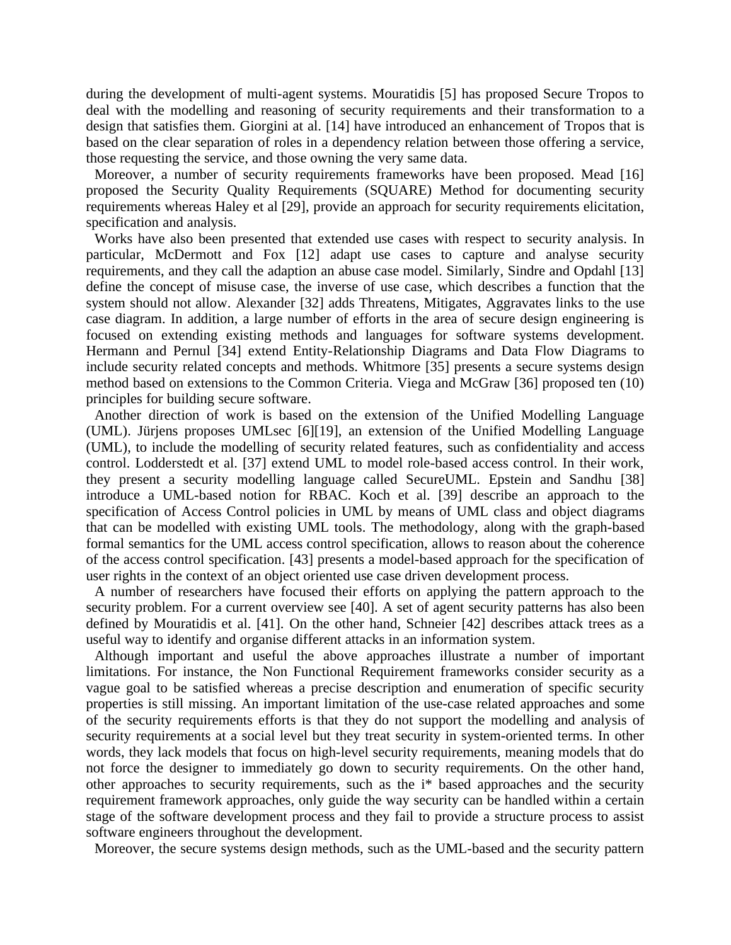during the development of multi-agent systems. Mouratidis [5] has proposed Secure Tropos to deal with the modelling and reasoning of security requirements and their transformation to a design that satisfies them. Giorgini at al. [14] have introduced an enhancement of Tropos that is based on the clear separation of roles in a dependency relation between those offering a service, those requesting the service, and those owning the very same data.

Moreover, a number of security requirements frameworks have been proposed. Mead [16] proposed the Security Quality Requirements (SQUARE) Method for documenting security requirements whereas Haley et al [29], provide an approach for security requirements elicitation, specification and analysis.

Works have also been presented that extended use cases with respect to security analysis. In particular, McDermott and Fox [12] adapt use cases to capture and analyse security requirements, and they call the adaption an abuse case model. Similarly, Sindre and Opdahl [13] define the concept of misuse case, the inverse of use case, which describes a function that the system should not allow. Alexander [32] adds Threatens, Mitigates, Aggravates links to the use case diagram. In addition, a large number of efforts in the area of secure design engineering is focused on extending existing methods and languages for software systems development. Hermann and Pernul [34] extend Entity-Relationship Diagrams and Data Flow Diagrams to include security related concepts and methods. Whitmore [35] presents a secure systems design method based on extensions to the Common Criteria. Viega and McGraw [36] proposed ten (10) principles for building secure software.

Another direction of work is based on the extension of the Unified Modelling Language (UML). Jürjens proposes UMLsec [6][19], an extension of the Unified Modelling Language (UML), to include the modelling of security related features, such as confidentiality and access control. Lodderstedt et al. [37] extend UML to model role-based access control. In their work, they present a security modelling language called SecureUML. Epstein and Sandhu [38] introduce a UML-based notion for RBAC. Koch et al. [39] describe an approach to the specification of Access Control policies in UML by means of UML class and object diagrams that can be modelled with existing UML tools. The methodology, along with the graph-based formal semantics for the UML access control specification, allows to reason about the coherence of the access control specification. [43] presents a model-based approach for the specification of user rights in the context of an object oriented use case driven development process.

A number of researchers have focused their efforts on applying the pattern approach to the security problem. For a current overview see [40]. A set of agent security patterns has also been defined by Mouratidis et al. [41]. On the other hand, Schneier [42] describes attack trees as a useful way to identify and organise different attacks in an information system.

Although important and useful the above approaches illustrate a number of important limitations. For instance, the Non Functional Requirement frameworks consider security as a vague goal to be satisfied whereas a precise description and enumeration of specific security properties is still missing. An important limitation of the use-case related approaches and some of the security requirements efforts is that they do not support the modelling and analysis of security requirements at a social level but they treat security in system-oriented terms. In other words, they lack models that focus on high-level security requirements, meaning models that do not force the designer to immediately go down to security requirements. On the other hand, other approaches to security requirements, such as the i\* based approaches and the security requirement framework approaches, only guide the way security can be handled within a certain stage of the software development process and they fail to provide a structure process to assist software engineers throughout the development.

Moreover, the secure systems design methods, such as the UML-based and the security pattern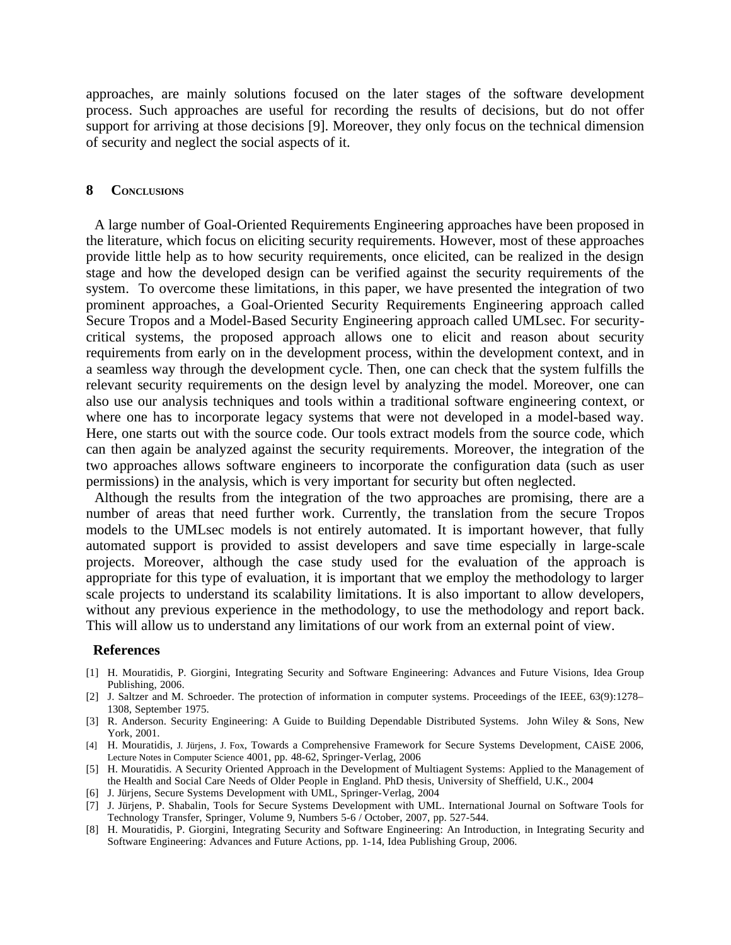approaches, are mainly solutions focused on the later stages of the software development process. Such approaches are useful for recording the results of decisions, but do not offer support for arriving at those decisions [9]. Moreover, they only focus on the technical dimension of security and neglect the social aspects of it.

## **8 CONCLUSIONS**

A large number of Goal-Oriented Requirements Engineering approaches have been proposed in the literature, which focus on eliciting security requirements. However, most of these approaches provide little help as to how security requirements, once elicited, can be realized in the design stage and how the developed design can be verified against the security requirements of the system. To overcome these limitations, in this paper, we have presented the integration of two prominent approaches, a Goal-Oriented Security Requirements Engineering approach called Secure Tropos and a Model-Based Security Engineering approach called UMLsec. For securitycritical systems, the proposed approach allows one to elicit and reason about security requirements from early on in the development process, within the development context, and in a seamless way through the development cycle. Then, one can check that the system fulfills the relevant security requirements on the design level by analyzing the model. Moreover, one can also use our analysis techniques and tools within a traditional software engineering context, or where one has to incorporate legacy systems that were not developed in a model-based way. Here, one starts out with the source code. Our tools extract models from the source code, which can then again be analyzed against the security requirements. Moreover, the integration of the two approaches allows software engineers to incorporate the configuration data (such as user permissions) in the analysis, which is very important for security but often neglected.

Although the results from the integration of the two approaches are promising, there are a number of areas that need further work. Currently, the translation from the secure Tropos models to the UMLsec models is not entirely automated. It is important however, that fully automated support is provided to assist developers and save time especially in large-scale projects. Moreover, although the case study used for the evaluation of the approach is appropriate for this type of evaluation, it is important that we employ the methodology to larger scale projects to understand its scalability limitations. It is also important to allow developers, without any previous experience in the methodology, to use the methodology and report back. This will allow us to understand any limitations of our work from an external point of view.

## **References**

- <span id="page-22-1"></span>[1] H. Mouratidis, P. Giorgini, Integrating Security and Software Engineering: Advances and Future Visions, Idea Group Publishing, 2006.
- [2] J. Saltzer and M. Schroeder. The protection of information in computer systems. Proceedings of the IEEE, 63(9):1278– 1308, September 1975.
- [3] R. Anderson. Security Engineering: A Guide to Building Dependable Distributed Systems. John Wiley & Sons, New York, 2001.
- [4] H. Mouratidis, J. Jürjens, J. Fox, Towards a Comprehensive Framework for Secure Systems Development, CAiSE 2006, Lecture Notes in Computer Science 4001, pp. 48-62, Springer-Verlag, 2006
- <span id="page-22-0"></span>[5] H. Mouratidis. A Security Oriented Approach in the Development of Multiagent Systems: Applied to the Management of the Health and Social Care Needs of Older People in England. PhD thesis, University of Sheffield, U.K., 2004
- <span id="page-22-2"></span>[6] J. Jürjens, Secure Systems Development with UML, Springer-Verlag, 2004
- [7] J. Jürjens, P. Shabalin, Tools for Secure Systems Development with UML. International Journal on Software Tools for Technology Transfer, Springer, Volume 9, Numbers 5-6 / October, 2007, pp. 527-544.
- [8] H. Mouratidis, P. Giorgini, Integrating Security and Software Engineering: An Introduction, in Integrating Security and Software Engineering: Advances and Future Actions, pp. 1-14, Idea Publishing Group, 2006.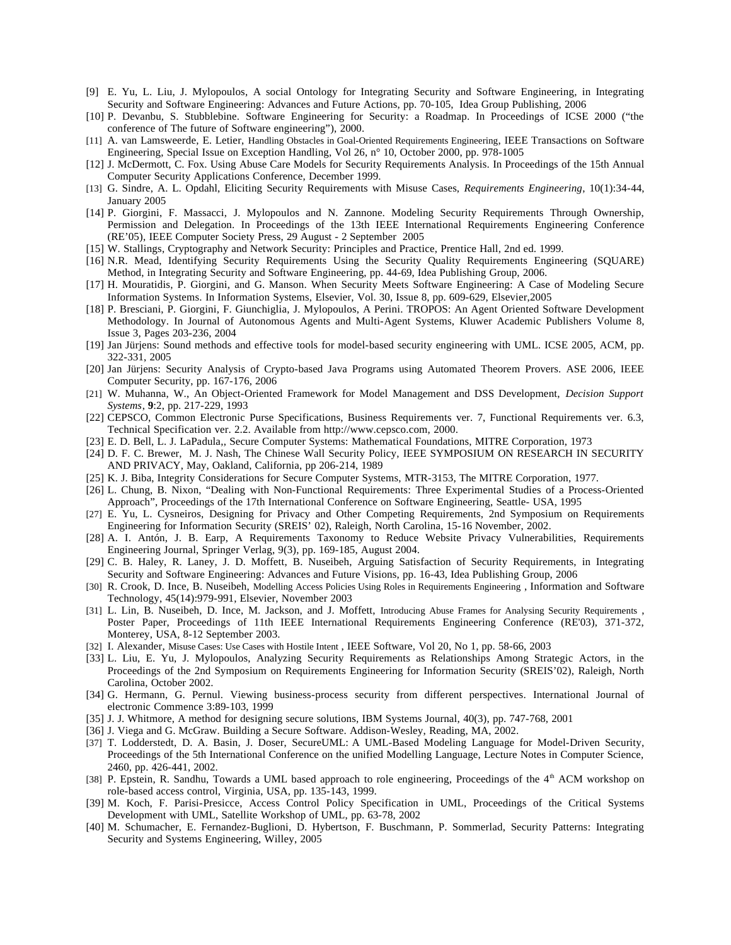- [9] E. Yu, L. Liu, J. Mylopoulos, A social Ontology for Integrating Security and Software Engineering, in Integrating Security and Software Engineering: Advances and Future Actions, pp. 70-105, Idea Group Publishing, 2006
- [10] P. Devanbu, S. Stubblebine. Software Engineering for Security: a Roadmap. In Proceedings of ICSE 2000 ("the conference of The future of Software engineering"), 2000.
- [11] A. van Lamsweerde, E. Letier, Handling Obstacles in Goal-Oriented Requirements Engineering, IEEE Transactions on Software Engineering, Special Issue on Exception Handling, Vol 26, n° 10, October 2000, pp. 978-1005
- [12] J. McDermott, C. Fox. Using Abuse Care Models for Security Requirements Analysis. In Proceedings of the 15th Annual Computer Security Applications Conference, December 1999.
- [13] G. Sindre, A. L. Opdahl, Eliciting Security Requirements with Misuse Cases, *Requirements Engineering*, 10(1):34-44, January 2005
- [14] P. Giorgini, F. Massacci, J. Mylopoulos and N. Zannone. Modeling Security Requirements Through Ownership, Permission and Delegation. In Proceedings of the 13th IEEE International Requirements Engineering Conference (RE'05), IEEE Computer Society Press, 29 August - 2 September 2005
- [15] W. Stallings, Cryptography and Network Security: Principles and Practice, Prentice Hall, 2nd ed. 1999.
- [16] N.R. Mead, Identifying Security Requirements Using the Security Quality Requirements Engineering (SQUARE) Method, in Integrating Security and Software Engineering, pp. 44-69, Idea Publishing Group, 2006.
- [17] H. Mouratidis, P. Giorgini, and G. Manson. When Security Meets Software Engineering: A Case of Modeling Secure Information Systems. In Information Systems, Elsevier, Vol. 30, Issue 8, pp. 609-629, Elsevier,2005
- <span id="page-23-0"></span>[18] P. Bresciani, P. Giorgini, F. Giunchiglia, J. Mylopoulos, A Perini. TROPOS: An Agent Oriented Software Development Methodology. In Journal of Autonomous Agents and Multi-Agent Systems, Kluwer Academic Publishers Volume 8, Issue 3, Pages 203-236, 2004
- <span id="page-23-1"></span>[19] Jan Jürjens: Sound methods and effective tools for model-based security engineering with UML. ICSE 2005, ACM, pp. 322-331, 2005
- [20] Jan Jürjens: Security Analysis of Crypto-based Java Programs using Automated Theorem Provers. ASE 2006, IEEE Computer Security, pp. 167-176, 2006
- [21] W. Muhanna, W., An Object-Oriented Framework for Model Management and DSS Development, *Decision Support Systems*, **9**:2, pp. 217-229, 1993
- [22] CEPSCO, Common Electronic Purse Specifications, Business Requirements ver. 7, Functional Requirements ver. 6.3, Technical Specification ver. 2.2. Available from http://www.cepsco.com, 2000.
- [23] E. D. Bell, L. J. LaPadula,, Secure Computer Systems: Mathematical Foundations, MITRE Corporation, 1973
- [24] D. F. C. Brewer, M. J. Nash, The Chinese Wall Security Policy, IEEE SYMPOSIUM ON RESEARCH IN SECURITY AND PRIVACY, May, Oakland, California, pp 206-214, 1989
- [25] K. J. Biba, Integrity Considerations for Secure Computer Systems, MTR-3153, The MITRE Corporation, 1977.
- [26] L. Chung, B. Nixon, "Dealing with Non-Functional Requirements: Three Experimental Studies of a Process-Oriented Approach", Proceedings of the 17th International Conference on Software Engineering, Seattle- USA, 1995
- [27] E. Yu, L. Cysneiros, Designing for Privacy and Other Competing Requirements, 2nd Symposium on Requirements Engineering for Information Security (SREIS' 02), Raleigh, North Carolina, 15-16 November, 2002.
- [28] A. I. Antón, J. B. Earp, A Requirements Taxonomy to Reduce Website Privacy Vulnerabilities, Requirements Engineering Journal, Springer Verlag, 9(3), pp. 169-185, August 2004.
- [29] C. B. Haley, R. Laney, J. D. Moffett, B. Nuseibeh, Arguing Satisfaction of Security Requirements, in Integrating Security and Software Engineering: Advances and Future Visions, pp. 16-43, Idea Publishing Group, 2006
- [30] R. Crook, D. Ince, B. Nuseibeh, Modelling Access Policies Using Roles in Requirements Engineering, Information and Software Technology, 45(14):979-991, Elsevier, November 2003
- [31] L. Lin, B. Nuseibeh, D. Ince, M. Jackson, and J. Moffett, Introducing Abuse Frames for Analysing Security Requirements Poster Paper, Proceedings of 11th IEEE International Requirements Engineering Conference (RE'03), 371-372, Monterey, USA, 8-12 September 2003.
- [32] I. Alexander, Misuse Cases: Use Cases with Hostile Intent , IEEE Software, Vol 20, No 1, pp. 58-66, 2003
- [33] L. Liu, E. Yu, J. Mylopoulos, Analyzing Security Requirements as Relationships Among Strategic Actors, in the Proceedings of the 2nd Symposium on Requirements Engineering for Information Security (SREIS'02), Raleigh, North Carolina, October 2002.
- [34] G. Hermann, G. Pernul. Viewing business-process security from different perspectives. International Journal of electronic Commence 3:89-103, 1999
- [35] J. J. Whitmore, A method for designing secure solutions, IBM Systems Journal, 40(3), pp. 747-768, 2001
- [36] J. Viega and G. McGraw. Building a Secure Software. Addison-Wesley, Reading, MA, 2002.
- [37] T. Lodderstedt, D. A. Basin, J. Doser, SecureUML: A UML-Based Modeling Language for Model-Driven Security, Proceedings of the 5th International Conference on the unified Modelling Language, Lecture Notes in Computer Science, 2460, pp. 426-441, 2002.
- [38] P. Epstein, R. Sandhu, Towards a UML based approach to role engineering, Proceedings of the 4<sup>th</sup> ACM workshop on role-based access control, Virginia, USA, pp. 135-143, 1999.
- [39] M. Koch, F. Parisi-Presicce, Access Control Policy Specification in UML, Proceedings of the Critical Systems Development with UML, Satellite Workshop of UML, pp. 63-78, 2002
- [40] M. Schumacher, E. Fernandez-Buglioni, D. Hybertson, F. Buschmann, P. Sommerlad, Security Patterns: Integrating Security and Systems Engineering, Willey, 2005